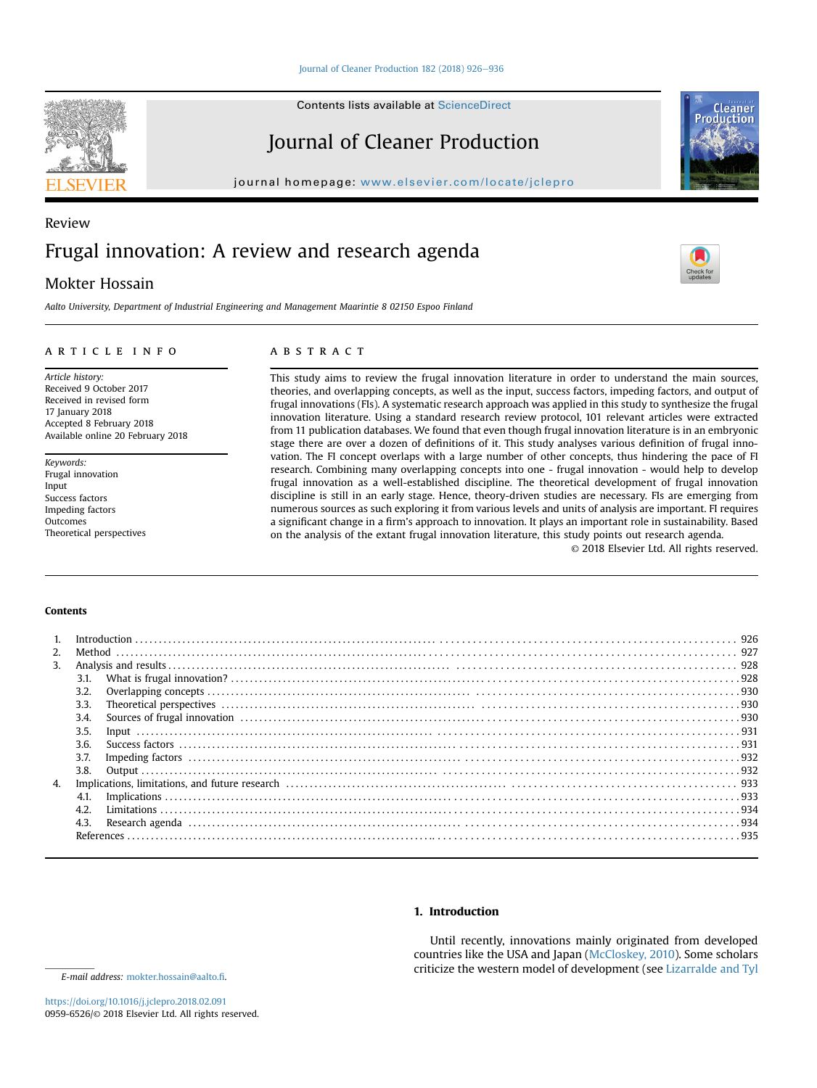Contents lists available at ScienceDirect

# Journal of Cleaner Production

journal homepage: [www.elsevier.com/locate/jclepro](http://www.elsevier.com/locate/jclepro)

# Review Frugal innovation: A review and research agenda

# Mokter Hossain

Aalto University, Department of Industrial Engineering and Management Maarintie 8 02150 Espoo Finland

## article info

Article history: Received 9 October 2017 Received in revised form 17 January 2018 Accepted 8 February 2018 Available online 20 February 2018

Keywords: Frugal innovation Input Success factors Impeding factors Outcomes Theoretical perspectives

# **ABSTRACT**

This study aims to review the frugal innovation literature in order to understand the main sources, theories, and overlapping concepts, as well as the input, success factors, impeding factors, and output of frugal innovations (FIs). A systematic research approach was applied in this study to synthesize the frugal innovation literature. Using a standard research review protocol, 101 relevant articles were extracted from 11 publication databases. We found that even though frugal innovation literature is in an embryonic stage there are over a dozen of definitions of it. This study analyses various definition of frugal innovation. The FI concept overlaps with a large number of other concepts, thus hindering the pace of FI research. Combining many overlapping concepts into one - frugal innovation - would help to develop frugal innovation as a well-established discipline. The theoretical development of frugal innovation discipline is still in an early stage. Hence, theory-driven studies are necessary. FIs are emerging from numerous sources as such exploring it from various levels and units of analysis are important. FI requires a significant change in a firm's approach to innovation. It plays an important role in sustainability. Based on the analysis of the extant frugal innovation literature, this study points out research agenda. © 2018 Elsevier Ltd. All rights reserved.

## Contents

| 2.               |      |  |
|------------------|------|--|
| 3.               |      |  |
|                  | 3.1. |  |
|                  | 3.2. |  |
|                  | 3.3. |  |
|                  | 3.4. |  |
|                  | 3.5. |  |
|                  | 3.6. |  |
|                  | 3.7. |  |
|                  | 3.8. |  |
| $\overline{4}$ . |      |  |
|                  | 4.1. |  |
|                  | 4.2. |  |
|                  | 4.3. |  |
|                  |      |  |
|                  |      |  |

# 1. Introduction

Until recently, innovations mainly originated from developed countries like the USA and Japan ([McCloskey, 2010\)](#page-9-0). Some scholars criticize the western model of development (see [Lizarralde and Tyl](#page-9-0) E-mail address: [mokter.hossain@aalto.](mailto:mokter.hossain@aalto.fi)fi.





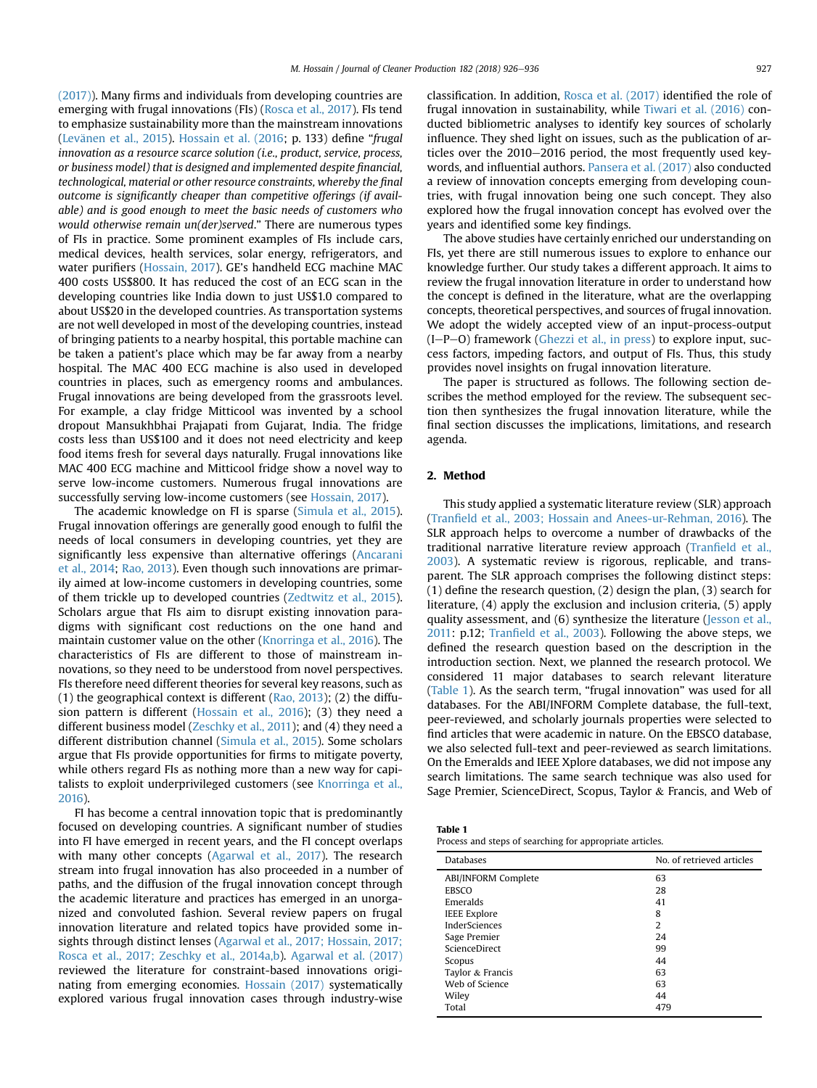<span id="page-1-0"></span>[\(2017\)\)](#page-9-0). Many firms and individuals from developing countries are emerging with frugal innovations (FIs) ([Rosca et al., 2017\)](#page-10-0). FIs tend to emphasize sustainability more than the mainstream innovations ([Lev](#page-9-0)ä[nen et al., 2015](#page-9-0)). [Hossain et al. \(2016;](#page-9-0) p. 133) define "frugal innovation as a resource scarce solution (i.e., product, service, process, or business model) that is designed and implemented despite financial, technological, material or other resource constraints, whereby the final outcome is significantly cheaper than competitive offerings (if available) and is good enough to meet the basic needs of customers who would otherwise remain un(der)served." There are numerous types of FIs in practice. Some prominent examples of FIs include cars, medical devices, health services, solar energy, refrigerators, and water purifiers ([Hossain, 2017](#page-9-0)). GE's handheld ECG machine MAC 400 costs US\$800. It has reduced the cost of an ECG scan in the developing countries like India down to just US\$1.0 compared to about US\$20 in the developed countries. As transportation systems are not well developed in most of the developing countries, instead of bringing patients to a nearby hospital, this portable machine can be taken a patient's place which may be far away from a nearby hospital. The MAC 400 ECG machine is also used in developed countries in places, such as emergency rooms and ambulances. Frugal innovations are being developed from the grassroots level. For example, a clay fridge Mitticool was invented by a school dropout Mansukhbhai Prajapati from Gujarat, India. The fridge costs less than US\$100 and it does not need electricity and keep food items fresh for several days naturally. Frugal innovations like MAC 400 ECG machine and Mitticool fridge show a novel way to serve low-income customers. Numerous frugal innovations are successfully serving low-income customers (see [Hossain, 2017\)](#page-9-0).

The academic knowledge on FI is sparse [\(Simula et al., 2015\)](#page-10-0). Frugal innovation offerings are generally good enough to fulfil the needs of local consumers in developing countries, yet they are significantly less expensive than alternative offerings [\(Ancarani](#page-9-0) [et al., 2014;](#page-9-0) [Rao, 2013\)](#page-10-0). Even though such innovations are primarily aimed at low-income customers in developing countries, some of them trickle up to developed countries [\(Zedtwitz et al., 2015\)](#page-10-0). Scholars argue that FIs aim to disrupt existing innovation paradigms with significant cost reductions on the one hand and maintain customer value on the other [\(Knorringa et al., 2016](#page-9-0)). The characteristics of FIs are different to those of mainstream innovations, so they need to be understood from novel perspectives. FIs therefore need different theories for several key reasons, such as (1) the geographical context is different  $(Rao, 2013)$ ; (2) the diffusion pattern is different ([Hossain et al., 2016](#page-9-0)); (3) they need a different business model ([Zeschky et al., 2011\)](#page-10-0); and (4) they need a different distribution channel ([Simula et al., 2015](#page-10-0)). Some scholars argue that FIs provide opportunities for firms to mitigate poverty, while others regard FIs as nothing more than a new way for capitalists to exploit underprivileged customers (see [Knorringa et al.,](#page-9-0) [2016\)](#page-9-0).

FI has become a central innovation topic that is predominantly focused on developing countries. A significant number of studies into FI have emerged in recent years, and the FI concept overlaps with many other concepts ([Agarwal et al., 2017](#page-9-0)). The research stream into frugal innovation has also proceeded in a number of paths, and the diffusion of the frugal innovation concept through the academic literature and practices has emerged in an unorganized and convoluted fashion. Several review papers on frugal innovation literature and related topics have provided some insights through distinct lenses [\(Agarwal et al., 2017; Hossain, 2017;](#page-9-0) [Rosca et al., 2017; Zeschky et al., 2014a,b\)](#page-9-0). [Agarwal et al. \(2017\)](#page-9-0) reviewed the literature for constraint-based innovations originating from emerging economies. [Hossain \(2017\)](#page-9-0) systematically explored various frugal innovation cases through industry-wise classification. In addition, [Rosca et al. \(2017\)](#page-10-0) identified the role of frugal innovation in sustainability, while [Tiwari et al. \(2016\)](#page-10-0) conducted bibliometric analyses to identify key sources of scholarly influence. They shed light on issues, such as the publication of articles over the 2010-2016 period, the most frequently used keywords, and influential authors. [Pansera et al. \(2017\)](#page-10-0) also conducted a review of innovation concepts emerging from developing countries, with frugal innovation being one such concept. They also explored how the frugal innovation concept has evolved over the years and identified some key findings.

The above studies have certainly enriched our understanding on FIs, yet there are still numerous issues to explore to enhance our knowledge further. Our study takes a different approach. It aims to review the frugal innovation literature in order to understand how the concept is defined in the literature, what are the overlapping concepts, theoretical perspectives, and sources of frugal innovation. We adopt the widely accepted view of an input-process-output  $(I-P-O)$  framework [\(Ghezzi et al., in press\)](#page-9-0) to explore input, success factors, impeding factors, and output of FIs. Thus, this study provides novel insights on frugal innovation literature.

The paper is structured as follows. The following section describes the method employed for the review. The subsequent section then synthesizes the frugal innovation literature, while the final section discusses the implications, limitations, and research agenda.

#### 2. Method

This study applied a systematic literature review (SLR) approach (Tranfi[eld et al., 2003; Hossain and Anees-ur-Rehman, 2016\)](#page-10-0). The SLR approach helps to overcome a number of drawbacks of the traditional narrative literature review approach (Tranfi[eld et al.,](#page-10-0) [2003\)](#page-10-0). A systematic review is rigorous, replicable, and transparent. The SLR approach comprises the following distinct steps: (1) define the research question, (2) design the plan, (3) search for literature, (4) apply the exclusion and inclusion criteria, (5) apply quality assessment, and (6) synthesize the literature ([Jesson et al.,](#page-9-0) [2011](#page-9-0): p.12; Tranfi[eld et al., 2003](#page-10-0)). Following the above steps, we defined the research question based on the description in the introduction section. Next, we planned the research protocol. We considered 11 major databases to search relevant literature (Table 1). As the search term, "frugal innovation" was used for all databases. For the ABI/INFORM Complete database, the full-text, peer-reviewed, and scholarly journals properties were selected to find articles that were academic in nature. On the EBSCO database, we also selected full-text and peer-reviewed as search limitations. On the Emeralds and IEEE Xplore databases, we did not impose any search limitations. The same search technique was also used for Sage Premier, ScienceDirect, Scopus, Taylor & Francis, and Web of

| Table 1                                                  |
|----------------------------------------------------------|
| Process and steps of searching for appropriate articles. |

| <b>Databases</b>    | No. of retrieved articles |
|---------------------|---------------------------|
| ABI/INFORM Complete | 63                        |
| <b>EBSCO</b>        | 28                        |
| Emeralds            | 41                        |
| <b>IEEE Explore</b> | 8                         |
| InderSciences       | $\overline{2}$            |
| Sage Premier        | 24                        |
| ScienceDirect       | 99                        |
| Scopus              | 44                        |
| Taylor & Francis    | 63                        |
| Web of Science      | 63                        |
| Wiley               | 44                        |
| Total               | 479                       |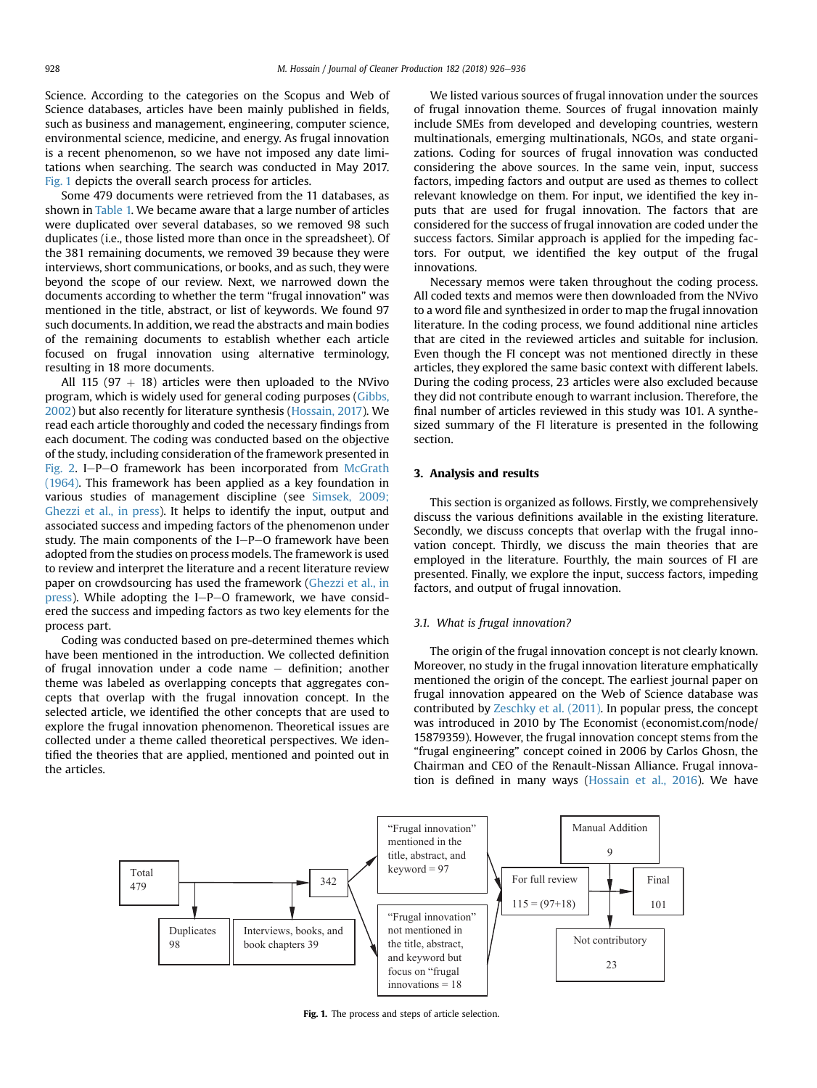Science. According to the categories on the Scopus and Web of Science databases, articles have been mainly published in fields, such as business and management, engineering, computer science, environmental science, medicine, and energy. As frugal innovation is a recent phenomenon, so we have not imposed any date limitations when searching. The search was conducted in May 2017. Fig. 1 depicts the overall search process for articles.

Some 479 documents were retrieved from the 11 databases, as shown in [Table 1.](#page-1-0) We became aware that a large number of articles were duplicated over several databases, so we removed 98 such duplicates (i.e., those listed more than once in the spreadsheet). Of the 381 remaining documents, we removed 39 because they were interviews, short communications, or books, and as such, they were beyond the scope of our review. Next, we narrowed down the documents according to whether the term "frugal innovation" was mentioned in the title, abstract, or list of keywords. We found 97 such documents. In addition, we read the abstracts and main bodies of the remaining documents to establish whether each article focused on frugal innovation using alternative terminology, resulting in 18 more documents.

All 115 (97  $+$  18) articles were then uploaded to the NVivo program, which is widely used for general coding purposes ([Gibbs,](#page-9-0) [2002](#page-9-0)) but also recently for literature synthesis [\(Hossain, 2017](#page-9-0)). We read each article thoroughly and coded the necessary findings from each document. The coding was conducted based on the objective of the study, including consideration of the framework presented in [Fig. 2.](#page-3-0) I-P-O framework has been incorporated from [McGrath](#page-9-0) [\(1964\)](#page-9-0). This framework has been applied as a key foundation in various studies of management discipline (see [Simsek, 2009;](#page-10-0) [Ghezzi et al., in press](#page-10-0)). It helps to identify the input, output and associated success and impeding factors of the phenomenon under study. The main components of the  $I-P-O$  framework have been adopted from the studies on process models. The framework is used to review and interpret the literature and a recent literature review paper on crowdsourcing has used the framework [\(Ghezzi et al., in](#page-9-0) [press\)](#page-9-0). While adopting the I-P-O framework, we have considered the success and impeding factors as two key elements for the process part.

Coding was conducted based on pre-determined themes which have been mentioned in the introduction. We collected definition of frugal innovation under a code name  $-$  definition; another theme was labeled as overlapping concepts that aggregates concepts that overlap with the frugal innovation concept. In the selected article, we identified the other concepts that are used to explore the frugal innovation phenomenon. Theoretical issues are collected under a theme called theoretical perspectives. We identified the theories that are applied, mentioned and pointed out in the articles.

We listed various sources of frugal innovation under the sources of frugal innovation theme. Sources of frugal innovation mainly include SMEs from developed and developing countries, western multinationals, emerging multinationals, NGOs, and state organizations. Coding for sources of frugal innovation was conducted considering the above sources. In the same vein, input, success factors, impeding factors and output are used as themes to collect relevant knowledge on them. For input, we identified the key inputs that are used for frugal innovation. The factors that are considered for the success of frugal innovation are coded under the success factors. Similar approach is applied for the impeding factors. For output, we identified the key output of the frugal innovations.

Necessary memos were taken throughout the coding process. All coded texts and memos were then downloaded from the NVivo to a word file and synthesized in order to map the frugal innovation literature. In the coding process, we found additional nine articles that are cited in the reviewed articles and suitable for inclusion. Even though the FI concept was not mentioned directly in these articles, they explored the same basic context with different labels. During the coding process, 23 articles were also excluded because they did not contribute enough to warrant inclusion. Therefore, the final number of articles reviewed in this study was 101. A synthesized summary of the FI literature is presented in the following section.

#### 3. Analysis and results

This section is organized as follows. Firstly, we comprehensively discuss the various definitions available in the existing literature. Secondly, we discuss concepts that overlap with the frugal innovation concept. Thirdly, we discuss the main theories that are employed in the literature. Fourthly, the main sources of FI are presented. Finally, we explore the input, success factors, impeding factors, and output of frugal innovation.

#### 3.1. What is frugal innovation?

The origin of the frugal innovation concept is not clearly known. Moreover, no study in the frugal innovation literature emphatically mentioned the origin of the concept. The earliest journal paper on frugal innovation appeared on the Web of Science database was contributed by [Zeschky et al. \(2011\).](#page-10-0) In popular press, the concept was introduced in 2010 by The Economist (economist.com/node/ 15879359). However, the frugal innovation concept stems from the "frugal engineering" concept coined in 2006 by Carlos Ghosn, the Chairman and CEO of the Renault-Nissan Alliance. Frugal innovation is defined in many ways [\(Hossain et al., 2016\)](#page-9-0). We have



Fig. 1. The process and steps of article selection.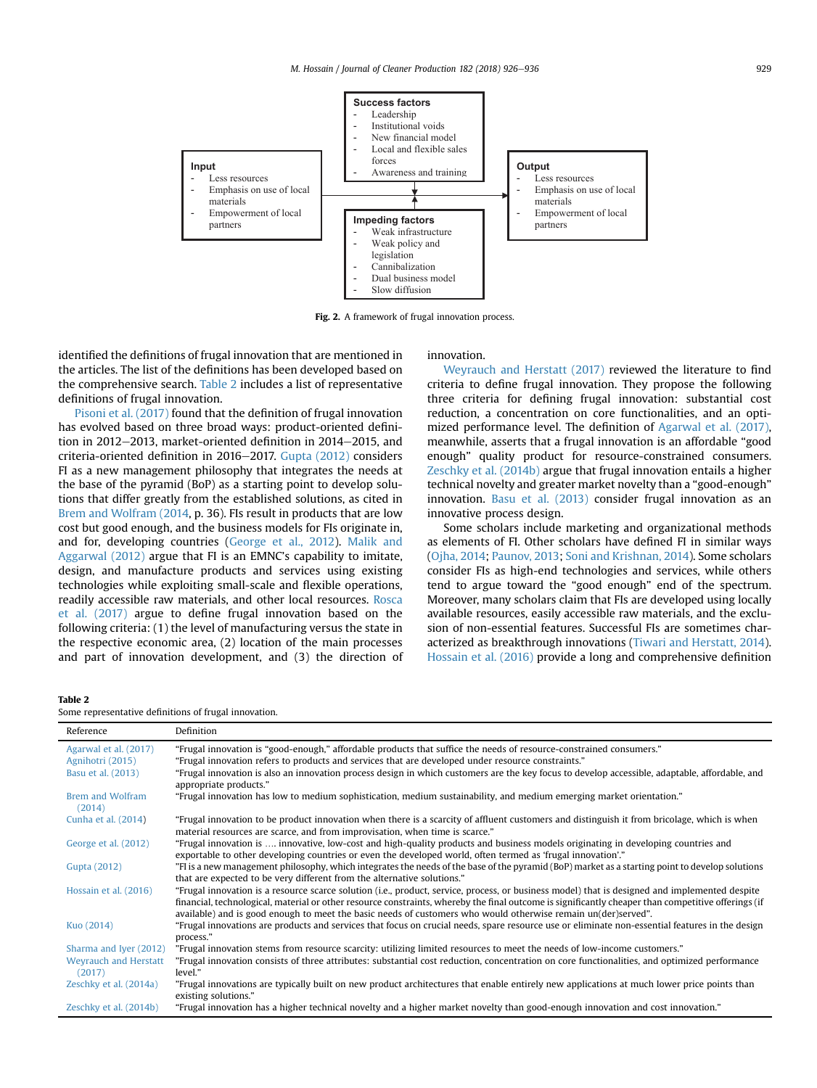<span id="page-3-0"></span>

Fig. 2. A framework of frugal innovation process.

identified the definitions of frugal innovation that are mentioned in the articles. The list of the definitions has been developed based on the comprehensive search. Table 2 includes a list of representative definitions of frugal innovation.

[Pisoni et al. \(2017\)](#page-10-0) found that the definition of frugal innovation has evolved based on three broad ways: product-oriented definition in 2012 $-$ 2013, market-oriented definition in 2014 $-$ 2015, and criteria-oriented definition in 2016-2017. [Gupta \(2012\)](#page-9-0) considers FI as a new management philosophy that integrates the needs at the base of the pyramid (BoP) as a starting point to develop solutions that differ greatly from the established solutions, as cited in [Brem and Wolfram \(2014,](#page-9-0) p. 36). FIs result in products that are low cost but good enough, and the business models for FIs originate in, and for, developing countries [\(George et al., 2012](#page-9-0)). [Malik and](#page-9-0) [Aggarwal \(2012\)](#page-9-0) argue that FI is an EMNC's capability to imitate, design, and manufacture products and services using existing technologies while exploiting small-scale and flexible operations, readily accessible raw materials, and other local resources. [Rosca](#page-10-0) [et al. \(2017\)](#page-10-0) argue to define frugal innovation based on the following criteria: (1) the level of manufacturing versus the state in the respective economic area, (2) location of the main processes and part of innovation development, and (3) the direction of

#### innovation.

[Weyrauch and Herstatt \(2017\)](#page-10-0) reviewed the literature to find criteria to define frugal innovation. They propose the following three criteria for defining frugal innovation: substantial cost reduction, a concentration on core functionalities, and an optimized performance level. The definition of [Agarwal et al. \(2017\),](#page-9-0) meanwhile, asserts that a frugal innovation is an affordable "good enough" quality product for resource-constrained consumers. [Zeschky et al. \(2014b\)](#page-10-0) argue that frugal innovation entails a higher technical novelty and greater market novelty than a "good-enough" innovation. [Basu et al. \(2013\)](#page-9-0) consider frugal innovation as an innovative process design.

Some scholars include marketing and organizational methods as elements of FI. Other scholars have defined FI in similar ways ([Ojha, 2014;](#page-9-0) [Paunov, 2013;](#page-10-0) [Soni and Krishnan, 2014](#page-10-0)). Some scholars consider FIs as high-end technologies and services, while others tend to argue toward the "good enough" end of the spectrum. Moreover, many scholars claim that FIs are developed using locally available resources, easily accessible raw materials, and the exclusion of non-essential features. Successful FIs are sometimes characterized as breakthrough innovations ([Tiwari and Herstatt, 2014\)](#page-10-0). [Hossain et al. \(2016\)](#page-9-0) provide a long and comprehensive definition

#### Table 2

| Some representative definitions of frugal innovation. |  |
|-------------------------------------------------------|--|
|-------------------------------------------------------|--|

| Reference                              | Definition                                                                                                                                                                                                                                                                                            |
|----------------------------------------|-------------------------------------------------------------------------------------------------------------------------------------------------------------------------------------------------------------------------------------------------------------------------------------------------------|
| Agarwal et al. (2017)                  | "Frugal innovation is "good-enough," affordable products that suffice the needs of resource-constrained consumers."                                                                                                                                                                                   |
| Agnihotri (2015)                       | "Frugal innovation refers to products and services that are developed under resource constraints."                                                                                                                                                                                                    |
| Basu et al. (2013)                     | "Frugal innovation is also an innovation process design in which customers are the key focus to develop accessible, adaptable, affordable, and<br>appropriate products."                                                                                                                              |
| <b>Brem and Wolfram</b><br>(2014)      | "Frugal innovation has low to medium sophistication, medium sustainability, and medium emerging market orientation."                                                                                                                                                                                  |
| Cunha et al. (2014)                    | "Frugal innovation to be product innovation when there is a scarcity of affluent customers and distinguish it from bricolage, which is when<br>material resources are scarce, and from improvisation, when time is scarce."                                                                           |
| George et al. (2012)                   | "Frugal innovation is  innovative, low-cost and high-quality products and business models originating in developing countries and<br>exportable to other developing countries or even the developed world, often termed as 'frugal innovation'."                                                      |
| Gupta (2012)                           | "FI is a new management philosophy, which integrates the needs of the base of the pyramid (BoP) market as a starting point to develop solutions<br>that are expected to be very different from the alternative solutions."                                                                            |
| Hossain et al. (2016)                  | "Frugal innovation is a resource scarce solution (i.e., product, service, process, or business model) that is designed and implemented despite<br>financial, technological, material or other resource constraints, whereby the final outcome is significantly cheaper than competitive offerings (if |
|                                        | available) and is good enough to meet the basic needs of customers who would otherwise remain un(der)served".                                                                                                                                                                                         |
| Kuo (2014)                             | "Frugal innovations are products and services that focus on crucial needs, spare resource use or eliminate non-essential features in the design<br>process."                                                                                                                                          |
| Sharma and Iyer (2012)                 | "Frugal innovation stems from resource scarcity: utilizing limited resources to meet the needs of low-income customers."                                                                                                                                                                              |
| <b>Weyrauch and Herstatt</b><br>(2017) | "Frugal innovation consists of three attributes: substantial cost reduction, concentration on core functionalities, and optimized performance<br>level."                                                                                                                                              |
| Zeschky et al. (2014a)                 | "Frugal innovations are typically built on new product architectures that enable entirely new applications at much lower price points than<br>existing solutions."                                                                                                                                    |
| Zeschky et al. (2014b)                 | "Frugal innovation has a higher technical novelty and a higher market novelty than good-enough innovation and cost innovation."                                                                                                                                                                       |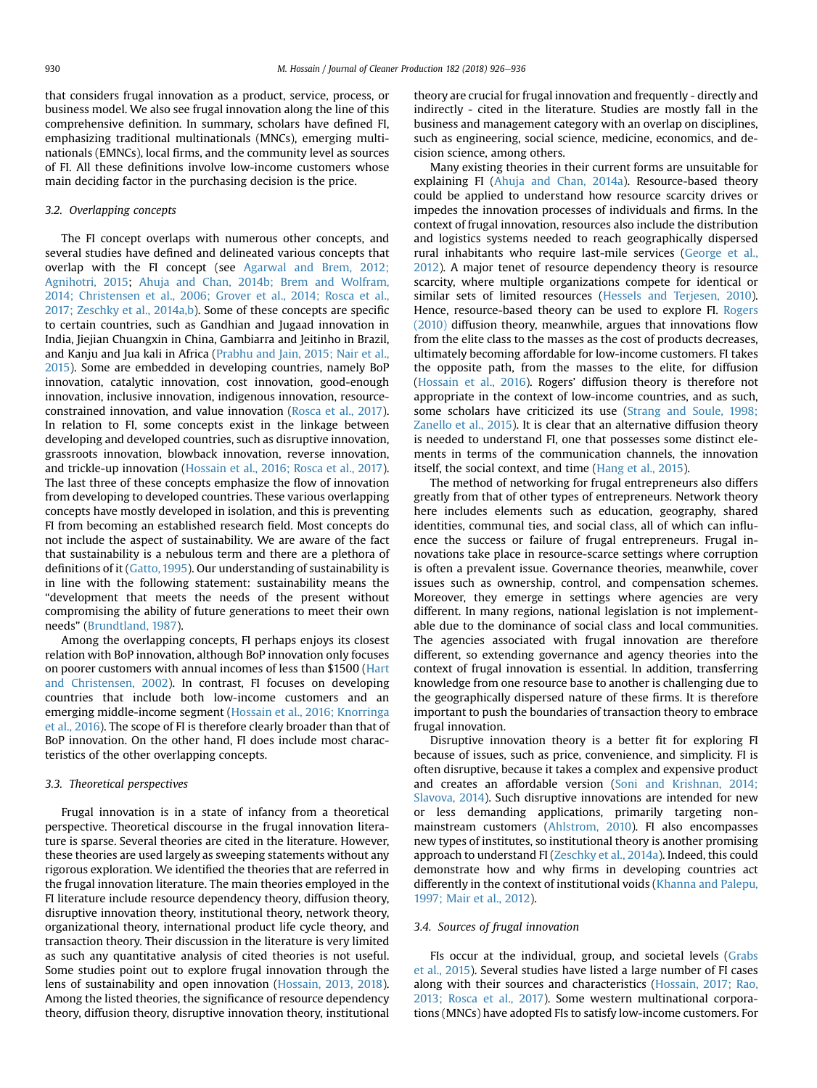that considers frugal innovation as a product, service, process, or business model. We also see frugal innovation along the line of this comprehensive definition. In summary, scholars have defined FI, emphasizing traditional multinationals (MNCs), emerging multinationals (EMNCs), local firms, and the community level as sources of FI. All these definitions involve low-income customers whose main deciding factor in the purchasing decision is the price.

### 3.2. Overlapping concepts

The FI concept overlaps with numerous other concepts, and several studies have defined and delineated various concepts that overlap with the FI concept (see [Agarwal and Brem, 2012;](#page-9-0) [Agnihotri, 2015;](#page-9-0) [Ahuja and Chan, 2014b; Brem and Wolfram,](#page-9-0) [2014; Christensen et al., 2006; Grover et al., 2014; Rosca et al.,](#page-9-0) [2017; Zeschky et al., 2014a,b](#page-9-0)). Some of these concepts are specific to certain countries, such as Gandhian and Jugaad innovation in India, Jiejian Chuangxin in China, Gambiarra and Jeitinho in Brazil, and Kanju and Jua kali in Africa ([Prabhu and Jain, 2015; Nair et al.,](#page-10-0) [2015](#page-10-0)). Some are embedded in developing countries, namely BoP innovation, catalytic innovation, cost innovation, good-enough innovation, inclusive innovation, indigenous innovation, resourceconstrained innovation, and value innovation ([Rosca et al., 2017\)](#page-10-0). In relation to FI, some concepts exist in the linkage between developing and developed countries, such as disruptive innovation, grassroots innovation, blowback innovation, reverse innovation, and trickle-up innovation [\(Hossain et al., 2016; Rosca et al., 2017\)](#page-9-0). The last three of these concepts emphasize the flow of innovation from developing to developed countries. These various overlapping concepts have mostly developed in isolation, and this is preventing FI from becoming an established research field. Most concepts do not include the aspect of sustainability. We are aware of the fact that sustainability is a nebulous term and there are a plethora of definitions of it ([Gatto, 1995\)](#page-9-0). Our understanding of sustainability is in line with the following statement: sustainability means the "development that meets the needs of the present without compromising the ability of future generations to meet their own needs" [\(Brundtland, 1987\)](#page-9-0).

Among the overlapping concepts, FI perhaps enjoys its closest relation with BoP innovation, although BoP innovation only focuses on poorer customers with annual incomes of less than \$1500 [\(Hart](#page-9-0) [and Christensen, 2002\)](#page-9-0). In contrast, FI focuses on developing countries that include both low-income customers and an emerging middle-income segment ([Hossain et al., 2016; Knorringa](#page-9-0) [et al., 2016\)](#page-9-0). The scope of FI is therefore clearly broader than that of BoP innovation. On the other hand, FI does include most characteristics of the other overlapping concepts.

#### 3.3. Theoretical perspectives

Frugal innovation is in a state of infancy from a theoretical perspective. Theoretical discourse in the frugal innovation literature is sparse. Several theories are cited in the literature. However, these theories are used largely as sweeping statements without any rigorous exploration. We identified the theories that are referred in the frugal innovation literature. The main theories employed in the FI literature include resource dependency theory, diffusion theory, disruptive innovation theory, institutional theory, network theory, organizational theory, international product life cycle theory, and transaction theory. Their discussion in the literature is very limited as such any quantitative analysis of cited theories is not useful. Some studies point out to explore frugal innovation through the lens of sustainability and open innovation ([Hossain, 2013, 2018\)](#page-9-0). Among the listed theories, the significance of resource dependency theory, diffusion theory, disruptive innovation theory, institutional theory are crucial for frugal innovation and frequently - directly and indirectly - cited in the literature. Studies are mostly fall in the business and management category with an overlap on disciplines, such as engineering, social science, medicine, economics, and decision science, among others.

Many existing theories in their current forms are unsuitable for explaining FI ([Ahuja and Chan, 2014a\)](#page-9-0). Resource-based theory could be applied to understand how resource scarcity drives or impedes the innovation processes of individuals and firms. In the context of frugal innovation, resources also include the distribution and logistics systems needed to reach geographically dispersed rural inhabitants who require last-mile services [\(George et al.,](#page-9-0) [2012](#page-9-0)). A major tenet of resource dependency theory is resource scarcity, where multiple organizations compete for identical or similar sets of limited resources ([Hessels and Terjesen, 2010\)](#page-9-0). Hence, resource-based theory can be used to explore FI. [Rogers](#page-10-0) [\(2010\)](#page-10-0) diffusion theory, meanwhile, argues that innovations flow from the elite class to the masses as the cost of products decreases, ultimately becoming affordable for low-income customers. FI takes the opposite path, from the masses to the elite, for diffusion ([Hossain et al., 2016](#page-9-0)). Rogers' diffusion theory is therefore not appropriate in the context of low-income countries, and as such, some scholars have criticized its use ([Strang and Soule, 1998;](#page-10-0) [Zanello et al., 2015\)](#page-10-0). It is clear that an alternative diffusion theory is needed to understand FI, one that possesses some distinct elements in terms of the communication channels, the innovation itself, the social context, and time [\(Hang et al., 2015](#page-9-0)).

The method of networking for frugal entrepreneurs also differs greatly from that of other types of entrepreneurs. Network theory here includes elements such as education, geography, shared identities, communal ties, and social class, all of which can influence the success or failure of frugal entrepreneurs. Frugal innovations take place in resource-scarce settings where corruption is often a prevalent issue. Governance theories, meanwhile, cover issues such as ownership, control, and compensation schemes. Moreover, they emerge in settings where agencies are very different. In many regions, national legislation is not implementable due to the dominance of social class and local communities. The agencies associated with frugal innovation are therefore different, so extending governance and agency theories into the context of frugal innovation is essential. In addition, transferring knowledge from one resource base to another is challenging due to the geographically dispersed nature of these firms. It is therefore important to push the boundaries of transaction theory to embrace frugal innovation.

Disruptive innovation theory is a better fit for exploring FI because of issues, such as price, convenience, and simplicity. FI is often disruptive, because it takes a complex and expensive product and creates an affordable version ([Soni and Krishnan, 2014;](#page-10-0) [Slavova, 2014](#page-10-0)). Such disruptive innovations are intended for new or less demanding applications, primarily targeting nonmainstream customers ([Ahlstrom, 2010](#page-9-0)). FI also encompasses new types of institutes, so institutional theory is another promising approach to understand FI [\(Zeschky et al., 2014a](#page-10-0)). Indeed, this could demonstrate how and why firms in developing countries act differently in the context of institutional voids ([Khanna and Palepu,](#page-9-0) [1997; Mair et al., 2012\)](#page-9-0).

#### 3.4. Sources of frugal innovation

FIs occur at the individual, group, and societal levels [\(Grabs](#page-9-0) [et al., 2015\)](#page-9-0). Several studies have listed a large number of FI cases along with their sources and characteristics ([Hossain, 2017; Rao,](#page-9-0) [2013; Rosca et al., 2017](#page-9-0)). Some western multinational corporations (MNCs) have adopted FIs to satisfy low-income customers. For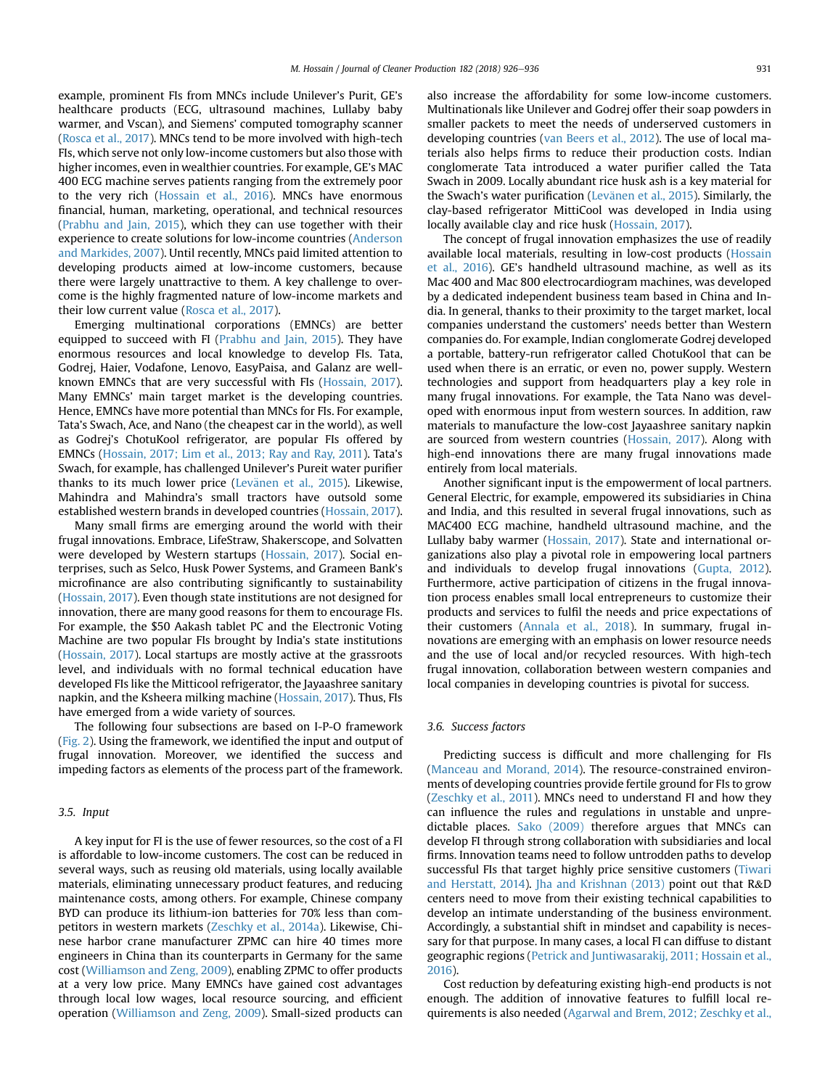example, prominent FIs from MNCs include Unilever's Purit, GE's healthcare products (ECG, ultrasound machines, Lullaby baby warmer, and Vscan), and Siemens' computed tomography scanner ([Rosca et al., 2017](#page-10-0)). MNCs tend to be more involved with high-tech FIs, which serve not only low-income customers but also those with higher incomes, even in wealthier countries. For example, GE's MAC 400 ECG machine serves patients ranging from the extremely poor to the very rich ([Hossain et al., 2016](#page-9-0)). MNCs have enormous financial, human, marketing, operational, and technical resources ([Prabhu and Jain, 2015](#page-10-0)), which they can use together with their experience to create solutions for low-income countries [\(Anderson](#page-9-0) [and Markides, 2007\)](#page-9-0). Until recently, MNCs paid limited attention to developing products aimed at low-income customers, because there were largely unattractive to them. A key challenge to overcome is the highly fragmented nature of low-income markets and their low current value [\(Rosca et al., 2017\)](#page-10-0).

Emerging multinational corporations (EMNCs) are better equipped to succeed with FI ([Prabhu and Jain, 2015\)](#page-10-0). They have enormous resources and local knowledge to develop FIs. Tata, Godrej, Haier, Vodafone, Lenovo, EasyPaisa, and Galanz are wellknown EMNCs that are very successful with FIs ([Hossain, 2017\)](#page-9-0). Many EMNCs' main target market is the developing countries. Hence, EMNCs have more potential than MNCs for FIs. For example, Tata's Swach, Ace, and Nano (the cheapest car in the world), as well as Godrej's ChotuKool refrigerator, are popular FIs offered by EMNCs [\(Hossain, 2017; Lim et al., 2013; Ray and Ray, 2011\)](#page-9-0). Tata's Swach, for example, has challenged Unilever's Pureit water purifier thanks to its much lower price ([Lev](#page-9-0)ä[nen et al., 2015](#page-9-0)). Likewise, Mahindra and Mahindra's small tractors have outsold some established western brands in developed countries [\(Hossain, 2017\)](#page-9-0).

Many small firms are emerging around the world with their frugal innovations. Embrace, LifeStraw, Shakerscope, and Solvatten were developed by Western startups ([Hossain, 2017\)](#page-9-0). Social enterprises, such as Selco, Husk Power Systems, and Grameen Bank's microfinance are also contributing significantly to sustainability ([Hossain, 2017](#page-9-0)). Even though state institutions are not designed for innovation, there are many good reasons for them to encourage FIs. For example, the \$50 Aakash tablet PC and the Electronic Voting Machine are two popular FIs brought by India's state institutions ([Hossain, 2017\)](#page-9-0). Local startups are mostly active at the grassroots level, and individuals with no formal technical education have developed FIs like the Mitticool refrigerator, the Jayaashree sanitary napkin, and the Ksheera milking machine [\(Hossain, 2017](#page-9-0)). Thus, FIs have emerged from a wide variety of sources.

The following four subsections are based on I-P-O framework ([Fig. 2](#page-3-0)). Using the framework, we identified the input and output of frugal innovation. Moreover, we identified the success and impeding factors as elements of the process part of the framework.

# 3.5. Input

A key input for FI is the use of fewer resources, so the cost of a FI is affordable to low-income customers. The cost can be reduced in several ways, such as reusing old materials, using locally available materials, eliminating unnecessary product features, and reducing maintenance costs, among others. For example, Chinese company BYD can produce its lithium-ion batteries for 70% less than competitors in western markets [\(Zeschky et al., 2014a\)](#page-10-0). Likewise, Chinese harbor crane manufacturer ZPMC can hire 40 times more engineers in China than its counterparts in Germany for the same cost ([Williamson and Zeng, 2009\)](#page-10-0), enabling ZPMC to offer products at a very low price. Many EMNCs have gained cost advantages through local low wages, local resource sourcing, and efficient operation ([Williamson and Zeng, 2009](#page-10-0)). Small-sized products can also increase the affordability for some low-income customers. Multinationals like Unilever and Godrej offer their soap powders in smaller packets to meet the needs of underserved customers in developing countries ([van Beers et al., 2012\)](#page-10-0). The use of local materials also helps firms to reduce their production costs. Indian conglomerate Tata introduced a water purifier called the Tata Swach in 2009. Locally abundant rice husk ash is a key material for the Swach's water purification [\(Lev](#page-9-0)ä[nen et al., 2015\)](#page-9-0). Similarly, the clay-based refrigerator MittiCool was developed in India using locally available clay and rice husk ([Hossain, 2017\)](#page-9-0).

The concept of frugal innovation emphasizes the use of readily available local materials, resulting in low-cost products ([Hossain](#page-9-0) [et al., 2016\)](#page-9-0). GE's handheld ultrasound machine, as well as its Mac 400 and Mac 800 electrocardiogram machines, was developed by a dedicated independent business team based in China and India. In general, thanks to their proximity to the target market, local companies understand the customers' needs better than Western companies do. For example, Indian conglomerate Godrej developed a portable, battery-run refrigerator called ChotuKool that can be used when there is an erratic, or even no, power supply. Western technologies and support from headquarters play a key role in many frugal innovations. For example, the Tata Nano was developed with enormous input from western sources. In addition, raw materials to manufacture the low-cost Jayaashree sanitary napkin are sourced from western countries ([Hossain, 2017\)](#page-9-0). Along with high-end innovations there are many frugal innovations made entirely from local materials.

Another significant input is the empowerment of local partners. General Electric, for example, empowered its subsidiaries in China and India, and this resulted in several frugal innovations, such as MAC400 ECG machine, handheld ultrasound machine, and the Lullaby baby warmer [\(Hossain, 2017](#page-9-0)). State and international organizations also play a pivotal role in empowering local partners and individuals to develop frugal innovations ([Gupta, 2012\)](#page-9-0). Furthermore, active participation of citizens in the frugal innovation process enables small local entrepreneurs to customize their products and services to fulfil the needs and price expectations of their customers ([Annala et al., 2018](#page-9-0)). In summary, frugal innovations are emerging with an emphasis on lower resource needs and the use of local and/or recycled resources. With high-tech frugal innovation, collaboration between western companies and local companies in developing countries is pivotal for success.

#### 3.6. Success factors

Predicting success is difficult and more challenging for FIs ([Manceau and Morand, 2014](#page-9-0)). The resource-constrained environments of developing countries provide fertile ground for FIs to grow ([Zeschky et al., 2011](#page-10-0)). MNCs need to understand FI and how they can influence the rules and regulations in unstable and unpredictable places. [Sako \(2009\)](#page-10-0) therefore argues that MNCs can develop FI through strong collaboration with subsidiaries and local firms. Innovation teams need to follow untrodden paths to develop successful FIs that target highly price sensitive customers ([Tiwari](#page-10-0) [and Herstatt, 2014\)](#page-10-0). [Jha and Krishnan \(2013\)](#page-9-0) point out that R&D centers need to move from their existing technical capabilities to develop an intimate understanding of the business environment. Accordingly, a substantial shift in mindset and capability is necessary for that purpose. In many cases, a local FI can diffuse to distant geographic regions ([Petrick and Juntiwasarakij, 2011; Hossain et al.,](#page-10-0) [2016\)](#page-10-0).

Cost reduction by defeaturing existing high-end products is not enough. The addition of innovative features to fulfill local requirements is also needed [\(Agarwal and Brem, 2012; Zeschky et al.,](#page-9-0)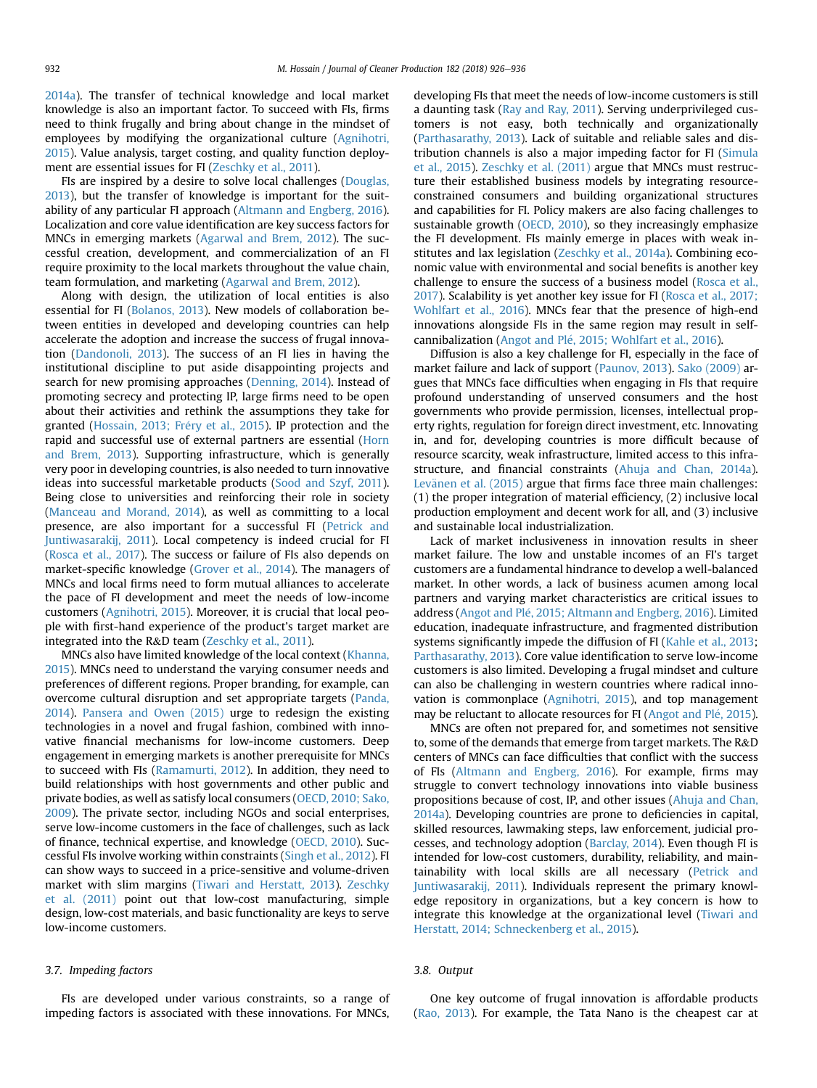[2014a](#page-9-0)). The transfer of technical knowledge and local market knowledge is also an important factor. To succeed with FIs, firms need to think frugally and bring about change in the mindset of employees by modifying the organizational culture [\(Agnihotri,](#page-9-0) [2015](#page-9-0)). Value analysis, target costing, and quality function deployment are essential issues for FI [\(Zeschky et al., 2011\)](#page-10-0).

FIs are inspired by a desire to solve local challenges ([Douglas,](#page-9-0) [2013](#page-9-0)), but the transfer of knowledge is important for the suitability of any particular FI approach ([Altmann and Engberg, 2016\)](#page-9-0). Localization and core value identification are key success factors for MNCs in emerging markets [\(Agarwal and Brem, 2012](#page-9-0)). The successful creation, development, and commercialization of an FI require proximity to the local markets throughout the value chain, team formulation, and marketing ([Agarwal and Brem, 2012\)](#page-9-0).

Along with design, the utilization of local entities is also essential for FI ([Bolanos, 2013\)](#page-9-0). New models of collaboration between entities in developed and developing countries can help accelerate the adoption and increase the success of frugal innovation [\(Dandonoli, 2013](#page-9-0)). The success of an FI lies in having the institutional discipline to put aside disappointing projects and search for new promising approaches [\(Denning, 2014](#page-9-0)). Instead of promoting secrecy and protecting IP, large firms need to be open about their activities and rethink the assumptions they take for granted (Hossain, 2013; Fréry et al., 2015). IP protection and the rapid and successful use of external partners are essential ([Horn](#page-9-0) [and Brem, 2013](#page-9-0)). Supporting infrastructure, which is generally very poor in developing countries, is also needed to turn innovative ideas into successful marketable products ([Sood and Szyf, 2011\)](#page-10-0). Being close to universities and reinforcing their role in society ([Manceau and Morand, 2014\)](#page-9-0), as well as committing to a local presence, are also important for a successful FI [\(Petrick and](#page-10-0) [Juntiwasarakij, 2011](#page-10-0)). Local competency is indeed crucial for FI ([Rosca et al., 2017](#page-10-0)). The success or failure of FIs also depends on market-specific knowledge ([Grover et al., 2014](#page-9-0)). The managers of MNCs and local firms need to form mutual alliances to accelerate the pace of FI development and meet the needs of low-income customers [\(Agnihotri, 2015\)](#page-9-0). Moreover, it is crucial that local people with first-hand experience of the product's target market are integrated into the R&D team ([Zeschky et al., 2011](#page-10-0)).

MNCs also have limited knowledge of the local context [\(Khanna,](#page-9-0) [2015](#page-9-0)). MNCs need to understand the varying consumer needs and preferences of different regions. Proper branding, for example, can overcome cultural disruption and set appropriate targets [\(Panda,](#page-10-0) [2014](#page-10-0)). [Pansera and Owen \(2015\)](#page-10-0) urge to redesign the existing technologies in a novel and frugal fashion, combined with innovative financial mechanisms for low-income customers. Deep engagement in emerging markets is another prerequisite for MNCs to succeed with FIs ([Ramamurti, 2012](#page-10-0)). In addition, they need to build relationships with host governments and other public and private bodies, as well as satisfy local consumers ([OECD, 2010; Sako,](#page-9-0) [2009](#page-9-0)). The private sector, including NGOs and social enterprises, serve low-income customers in the face of challenges, such as lack of finance, technical expertise, and knowledge ([OECD, 2010\)](#page-9-0). Successful FIs involve working within constraints ([Singh et al., 2012\)](#page-10-0). FI can show ways to succeed in a price-sensitive and volume-driven market with slim margins [\(Tiwari and Herstatt, 2013](#page-10-0)). [Zeschky](#page-10-0) [et al. \(2011\)](#page-10-0) point out that low-cost manufacturing, simple design, low-cost materials, and basic functionality are keys to serve low-income customers.

#### 3.7. Impeding factors

FIs are developed under various constraints, so a range of impeding factors is associated with these innovations. For MNCs, developing FIs that meet the needs of low-income customers is still a daunting task ([Ray and Ray, 2011](#page-10-0)). Serving underprivileged customers is not easy, both technically and organizationally ([Parthasarathy, 2013\)](#page-10-0). Lack of suitable and reliable sales and distribution channels is also a major impeding factor for FI ([Simula](#page-10-0) [et al., 2015\)](#page-10-0). [Zeschky et al. \(2011\)](#page-10-0) argue that MNCs must restructure their established business models by integrating resourceconstrained consumers and building organizational structures and capabilities for FI. Policy makers are also facing challenges to sustainable growth ([OECD, 2010](#page-9-0)), so they increasingly emphasize the FI development. FIs mainly emerge in places with weak institutes and lax legislation [\(Zeschky et al., 2014a](#page-10-0)). Combining economic value with environmental and social benefits is another key challenge to ensure the success of a business model ([Rosca et al.,](#page-10-0) [2017\)](#page-10-0). Scalability is yet another key issue for FI [\(Rosca et al., 2017;](#page-10-0) [Wohlfart et al., 2016](#page-10-0)). MNCs fear that the presence of high-end innovations alongside FIs in the same region may result in selfcannibalization (Angot and Plé, 2015; Wohlfart et al., 2016).

Diffusion is also a key challenge for FI, especially in the face of market failure and lack of support ([Paunov, 2013\)](#page-10-0). [Sako \(2009\)](#page-10-0) argues that MNCs face difficulties when engaging in FIs that require profound understanding of unserved consumers and the host governments who provide permission, licenses, intellectual property rights, regulation for foreign direct investment, etc. Innovating in, and for, developing countries is more difficult because of resource scarcity, weak infrastructure, limited access to this infrastructure, and financial constraints ([Ahuja and Chan, 2014a\)](#page-9-0). Levänen et al. (2015) argue that firms face three main challenges: (1) the proper integration of material efficiency, (2) inclusive local production employment and decent work for all, and (3) inclusive and sustainable local industrialization.

Lack of market inclusiveness in innovation results in sheer market failure. The low and unstable incomes of an FI's target customers are a fundamental hindrance to develop a well-balanced market. In other words, a lack of business acumen among local partners and varying market characteristics are critical issues to address (Angot and Plé, 2015; Altmann and Engberg, 2016). Limited education, inadequate infrastructure, and fragmented distribution systems significantly impede the diffusion of FI ([Kahle et al., 2013](#page-9-0); [Parthasarathy, 2013\)](#page-10-0). Core value identification to serve low-income customers is also limited. Developing a frugal mindset and culture can also be challenging in western countries where radical innovation is commonplace ([Agnihotri, 2015](#page-9-0)), and top management may be reluctant to allocate resources for FI (Angot and Plé, 2015).

MNCs are often not prepared for, and sometimes not sensitive to, some of the demands that emerge from target markets. The R&D centers of MNCs can face difficulties that conflict with the success of FIs ([Altmann and Engberg, 2016\)](#page-9-0). For example, firms may struggle to convert technology innovations into viable business propositions because of cost, IP, and other issues ([Ahuja and Chan,](#page-9-0) [2014a](#page-9-0)). Developing countries are prone to deficiencies in capital, skilled resources, lawmaking steps, law enforcement, judicial processes, and technology adoption ([Barclay, 2014\)](#page-9-0). Even though FI is intended for low-cost customers, durability, reliability, and maintainability with local skills are all necessary [\(Petrick and](#page-10-0) [Juntiwasarakij, 2011](#page-10-0)). Individuals represent the primary knowledge repository in organizations, but a key concern is how to integrate this knowledge at the organizational level [\(Tiwari and](#page-10-0) [Herstatt, 2014; Schneckenberg et al., 2015\)](#page-10-0).

# 3.8. Output

One key outcome of frugal innovation is affordable products ([Rao, 2013\)](#page-10-0). For example, the Tata Nano is the cheapest car at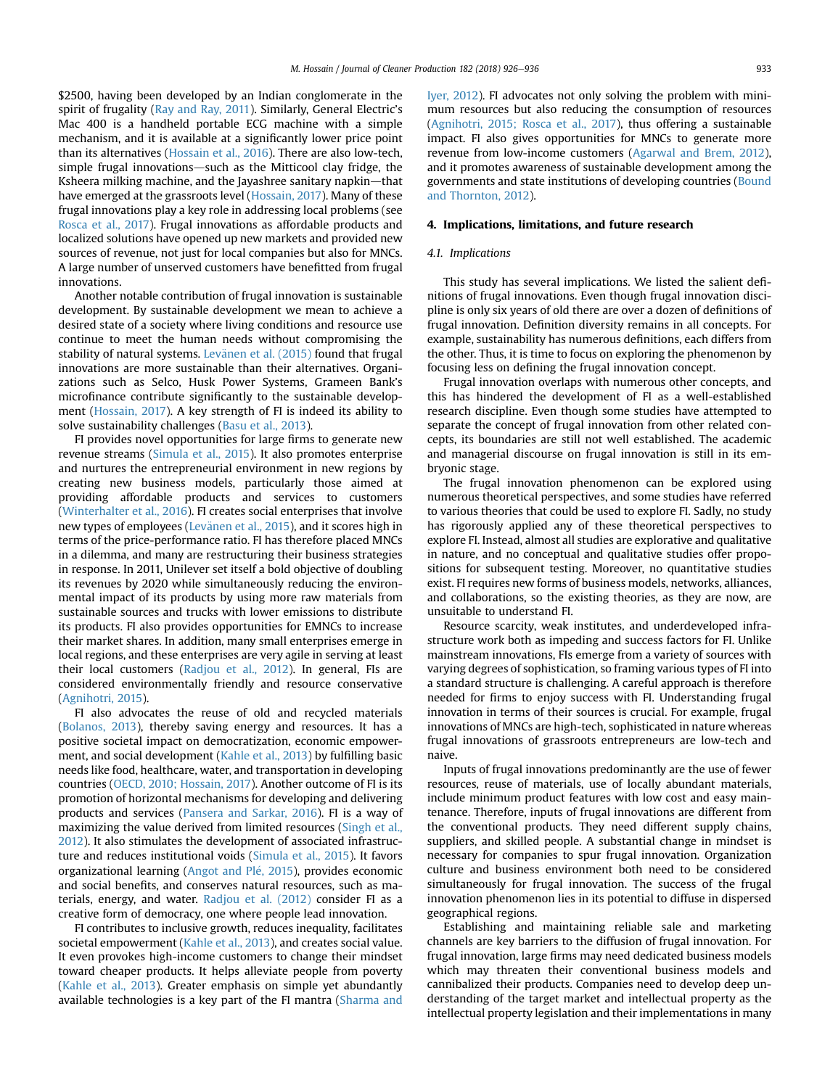\$2500, having been developed by an Indian conglomerate in the spirit of frugality [\(Ray and Ray, 2011](#page-10-0)). Similarly, General Electric's Mac 400 is a handheld portable ECG machine with a simple mechanism, and it is available at a significantly lower price point than its alternatives [\(Hossain et al., 2016\)](#page-9-0). There are also low-tech, simple frugal innovations—such as the Mitticool clay fridge, the Ksheera milking machine, and the Jayashree sanitary napkin—that have emerged at the grassroots level [\(Hossain, 2017](#page-9-0)). Many of these frugal innovations play a key role in addressing local problems (see [Rosca et al., 2017\)](#page-10-0). Frugal innovations as affordable products and localized solutions have opened up new markets and provided new sources of revenue, not just for local companies but also for MNCs. A large number of unserved customers have benefitted from frugal innovations.

Another notable contribution of frugal innovation is sustainable development. By sustainable development we mean to achieve a desired state of a society where living conditions and resource use continue to meet the human needs without compromising the stability of natural systems. [Lev](#page-9-0)ä[nen et al. \(2015\)](#page-9-0) found that frugal innovations are more sustainable than their alternatives. Organizations such as Selco, Husk Power Systems, Grameen Bank's microfinance contribute significantly to the sustainable development ([Hossain, 2017](#page-9-0)). A key strength of FI is indeed its ability to solve sustainability challenges [\(Basu et al., 2013](#page-9-0)).

FI provides novel opportunities for large firms to generate new revenue streams ([Simula et al., 2015](#page-10-0)). It also promotes enterprise and nurtures the entrepreneurial environment in new regions by creating new business models, particularly those aimed at providing affordable products and services to customers ([Winterhalter et al., 2016\)](#page-10-0). FI creates social enterprises that involve new types of employees ([Lev](#page-9-0)änen et al., 2015), and it scores high in terms of the price-performance ratio. FI has therefore placed MNCs in a dilemma, and many are restructuring their business strategies in response. In 2011, Unilever set itself a bold objective of doubling its revenues by 2020 while simultaneously reducing the environmental impact of its products by using more raw materials from sustainable sources and trucks with lower emissions to distribute its products. FI also provides opportunities for EMNCs to increase their market shares. In addition, many small enterprises emerge in local regions, and these enterprises are very agile in serving at least their local customers [\(Radjou et al., 2012\)](#page-10-0). In general, FIs are considered environmentally friendly and resource conservative ([Agnihotri, 2015\)](#page-9-0).

FI also advocates the reuse of old and recycled materials ([Bolanos, 2013\)](#page-9-0), thereby saving energy and resources. It has a positive societal impact on democratization, economic empowerment, and social development ([Kahle et al., 2013](#page-9-0)) by fulfilling basic needs like food, healthcare, water, and transportation in developing countries ([OECD, 2010; Hossain, 2017](#page-9-0)). Another outcome of FI is its promotion of horizontal mechanisms for developing and delivering products and services ([Pansera and Sarkar, 2016](#page-10-0)). FI is a way of maximizing the value derived from limited resources ([Singh et al.,](#page-10-0) [2012\)](#page-10-0). It also stimulates the development of associated infrastructure and reduces institutional voids ([Simula et al., 2015\)](#page-10-0). It favors organizational learning ([Angot and Pl](#page-9-0)é[, 2015](#page-9-0)), provides economic and social benefits, and conserves natural resources, such as materials, energy, and water. [Radjou et al. \(2012\)](#page-10-0) consider FI as a creative form of democracy, one where people lead innovation.

FI contributes to inclusive growth, reduces inequality, facilitates societal empowerment ([Kahle et al., 2013](#page-9-0)), and creates social value. It even provokes high-income customers to change their mindset toward cheaper products. It helps alleviate people from poverty ([Kahle et al., 2013\)](#page-9-0). Greater emphasis on simple yet abundantly available technologies is a key part of the FI mantra ([Sharma and](#page-10-0) [Iyer, 2012\)](#page-10-0). FI advocates not only solving the problem with minimum resources but also reducing the consumption of resources ([Agnihotri, 2015; Rosca et al., 2017](#page-9-0)), thus offering a sustainable impact. FI also gives opportunities for MNCs to generate more revenue from low-income customers [\(Agarwal and Brem, 2012\)](#page-9-0), and it promotes awareness of sustainable development among the governments and state institutions of developing countries [\(Bound](#page-9-0) [and Thornton, 2012](#page-9-0)).

#### 4. Implications, limitations, and future research

#### 4.1. Implications

This study has several implications. We listed the salient definitions of frugal innovations. Even though frugal innovation discipline is only six years of old there are over a dozen of definitions of frugal innovation. Definition diversity remains in all concepts. For example, sustainability has numerous definitions, each differs from the other. Thus, it is time to focus on exploring the phenomenon by focusing less on defining the frugal innovation concept.

Frugal innovation overlaps with numerous other concepts, and this has hindered the development of FI as a well-established research discipline. Even though some studies have attempted to separate the concept of frugal innovation from other related concepts, its boundaries are still not well established. The academic and managerial discourse on frugal innovation is still in its embryonic stage.

The frugal innovation phenomenon can be explored using numerous theoretical perspectives, and some studies have referred to various theories that could be used to explore FI. Sadly, no study has rigorously applied any of these theoretical perspectives to explore FI. Instead, almost all studies are explorative and qualitative in nature, and no conceptual and qualitative studies offer propositions for subsequent testing. Moreover, no quantitative studies exist. FI requires new forms of business models, networks, alliances, and collaborations, so the existing theories, as they are now, are unsuitable to understand FI.

Resource scarcity, weak institutes, and underdeveloped infrastructure work both as impeding and success factors for FI. Unlike mainstream innovations, FIs emerge from a variety of sources with varying degrees of sophistication, so framing various types of FI into a standard structure is challenging. A careful approach is therefore needed for firms to enjoy success with FI. Understanding frugal innovation in terms of their sources is crucial. For example, frugal innovations of MNCs are high-tech, sophisticated in nature whereas frugal innovations of grassroots entrepreneurs are low-tech and naive.

Inputs of frugal innovations predominantly are the use of fewer resources, reuse of materials, use of locally abundant materials, include minimum product features with low cost and easy maintenance. Therefore, inputs of frugal innovations are different from the conventional products. They need different supply chains, suppliers, and skilled people. A substantial change in mindset is necessary for companies to spur frugal innovation. Organization culture and business environment both need to be considered simultaneously for frugal innovation. The success of the frugal innovation phenomenon lies in its potential to diffuse in dispersed geographical regions.

Establishing and maintaining reliable sale and marketing channels are key barriers to the diffusion of frugal innovation. For frugal innovation, large firms may need dedicated business models which may threaten their conventional business models and cannibalized their products. Companies need to develop deep understanding of the target market and intellectual property as the intellectual property legislation and their implementations in many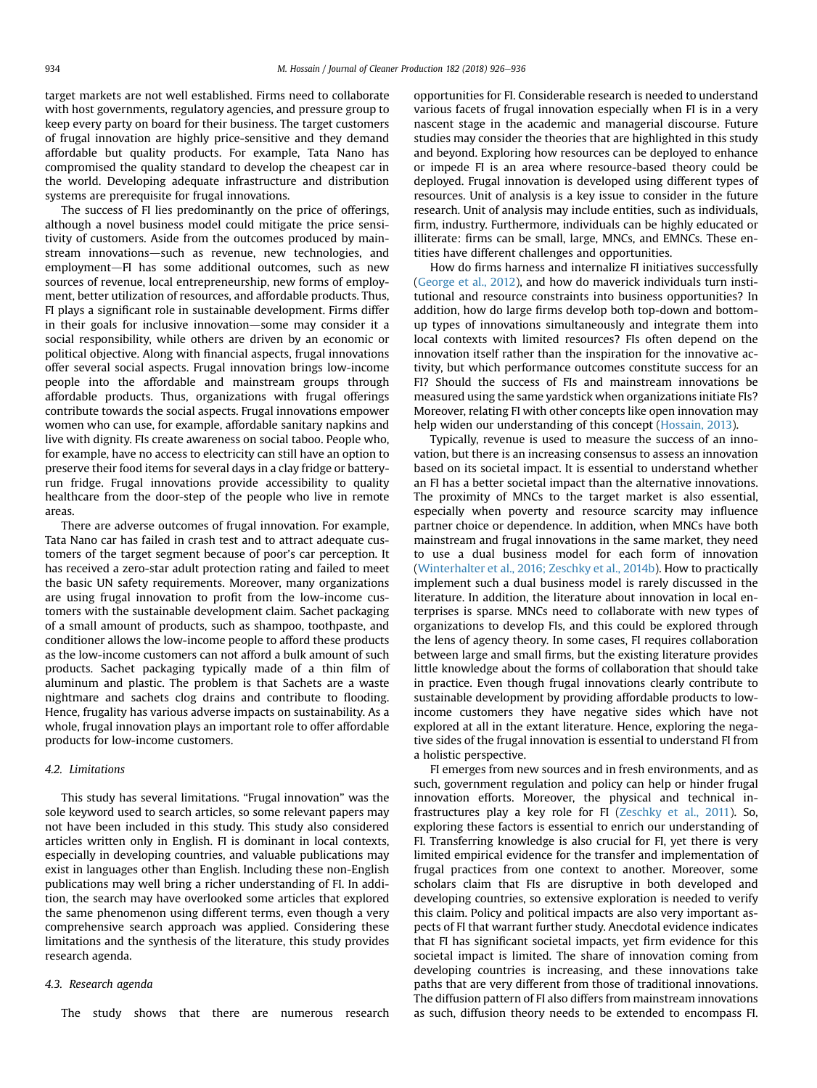target markets are not well established. Firms need to collaborate with host governments, regulatory agencies, and pressure group to keep every party on board for their business. The target customers of frugal innovation are highly price-sensitive and they demand affordable but quality products. For example, Tata Nano has compromised the quality standard to develop the cheapest car in the world. Developing adequate infrastructure and distribution systems are prerequisite for frugal innovations.

The success of FI lies predominantly on the price of offerings, although a novel business model could mitigate the price sensitivity of customers. Aside from the outcomes produced by mainstream innovations-such as revenue, new technologies, and employment-FI has some additional outcomes, such as new sources of revenue, local entrepreneurship, new forms of employment, better utilization of resources, and affordable products. Thus, FI plays a significant role in sustainable development. Firms differ in their goals for inclusive innovation-some may consider it a social responsibility, while others are driven by an economic or political objective. Along with financial aspects, frugal innovations offer several social aspects. Frugal innovation brings low-income people into the affordable and mainstream groups through affordable products. Thus, organizations with frugal offerings contribute towards the social aspects. Frugal innovations empower women who can use, for example, affordable sanitary napkins and live with dignity. FIs create awareness on social taboo. People who, for example, have no access to electricity can still have an option to preserve their food items for several days in a clay fridge or batteryrun fridge. Frugal innovations provide accessibility to quality healthcare from the door-step of the people who live in remote areas.

There are adverse outcomes of frugal innovation. For example, Tata Nano car has failed in crash test and to attract adequate customers of the target segment because of poor's car perception. It has received a zero-star adult protection rating and failed to meet the basic UN safety requirements. Moreover, many organizations are using frugal innovation to profit from the low-income customers with the sustainable development claim. Sachet packaging of a small amount of products, such as shampoo, toothpaste, and conditioner allows the low-income people to afford these products as the low-income customers can not afford a bulk amount of such products. Sachet packaging typically made of a thin film of aluminum and plastic. The problem is that Sachets are a waste nightmare and sachets clog drains and contribute to flooding. Hence, frugality has various adverse impacts on sustainability. As a whole, frugal innovation plays an important role to offer affordable products for low-income customers.

# 4.2. Limitations

This study has several limitations. "Frugal innovation" was the sole keyword used to search articles, so some relevant papers may not have been included in this study. This study also considered articles written only in English. FI is dominant in local contexts, especially in developing countries, and valuable publications may exist in languages other than English. Including these non-English publications may well bring a richer understanding of FI. In addition, the search may have overlooked some articles that explored the same phenomenon using different terms, even though a very comprehensive search approach was applied. Considering these limitations and the synthesis of the literature, this study provides research agenda.

#### 4.3. Research agenda

The study shows that there are numerous research

opportunities for FI. Considerable research is needed to understand various facets of frugal innovation especially when FI is in a very nascent stage in the academic and managerial discourse. Future studies may consider the theories that are highlighted in this study and beyond. Exploring how resources can be deployed to enhance or impede FI is an area where resource-based theory could be deployed. Frugal innovation is developed using different types of resources. Unit of analysis is a key issue to consider in the future research. Unit of analysis may include entities, such as individuals, firm, industry. Furthermore, individuals can be highly educated or illiterate: firms can be small, large, MNCs, and EMNCs. These entities have different challenges and opportunities.

How do firms harness and internalize FI initiatives successfully ([George et al., 2012](#page-9-0)), and how do maverick individuals turn institutional and resource constraints into business opportunities? In addition, how do large firms develop both top-down and bottomup types of innovations simultaneously and integrate them into local contexts with limited resources? FIs often depend on the innovation itself rather than the inspiration for the innovative activity, but which performance outcomes constitute success for an FI? Should the success of FIs and mainstream innovations be measured using the same yardstick when organizations initiate FIs? Moreover, relating FI with other concepts like open innovation may help widen our understanding of this concept ([Hossain, 2013\)](#page-9-0).

Typically, revenue is used to measure the success of an innovation, but there is an increasing consensus to assess an innovation based on its societal impact. It is essential to understand whether an FI has a better societal impact than the alternative innovations. The proximity of MNCs to the target market is also essential, especially when poverty and resource scarcity may influence partner choice or dependence. In addition, when MNCs have both mainstream and frugal innovations in the same market, they need to use a dual business model for each form of innovation ([Winterhalter et al., 2016; Zeschky et al., 2014b](#page-10-0)). How to practically implement such a dual business model is rarely discussed in the literature. In addition, the literature about innovation in local enterprises is sparse. MNCs need to collaborate with new types of organizations to develop FIs, and this could be explored through the lens of agency theory. In some cases, FI requires collaboration between large and small firms, but the existing literature provides little knowledge about the forms of collaboration that should take in practice. Even though frugal innovations clearly contribute to sustainable development by providing affordable products to lowincome customers they have negative sides which have not explored at all in the extant literature. Hence, exploring the negative sides of the frugal innovation is essential to understand FI from a holistic perspective.

FI emerges from new sources and in fresh environments, and as such, government regulation and policy can help or hinder frugal innovation efforts. Moreover, the physical and technical infrastructures play a key role for FI ([Zeschky et al., 2011](#page-10-0)). So, exploring these factors is essential to enrich our understanding of FI. Transferring knowledge is also crucial for FI, yet there is very limited empirical evidence for the transfer and implementation of frugal practices from one context to another. Moreover, some scholars claim that FIs are disruptive in both developed and developing countries, so extensive exploration is needed to verify this claim. Policy and political impacts are also very important aspects of FI that warrant further study. Anecdotal evidence indicates that FI has significant societal impacts, yet firm evidence for this societal impact is limited. The share of innovation coming from developing countries is increasing, and these innovations take paths that are very different from those of traditional innovations. The diffusion pattern of FI also differs from mainstream innovations as such, diffusion theory needs to be extended to encompass FI.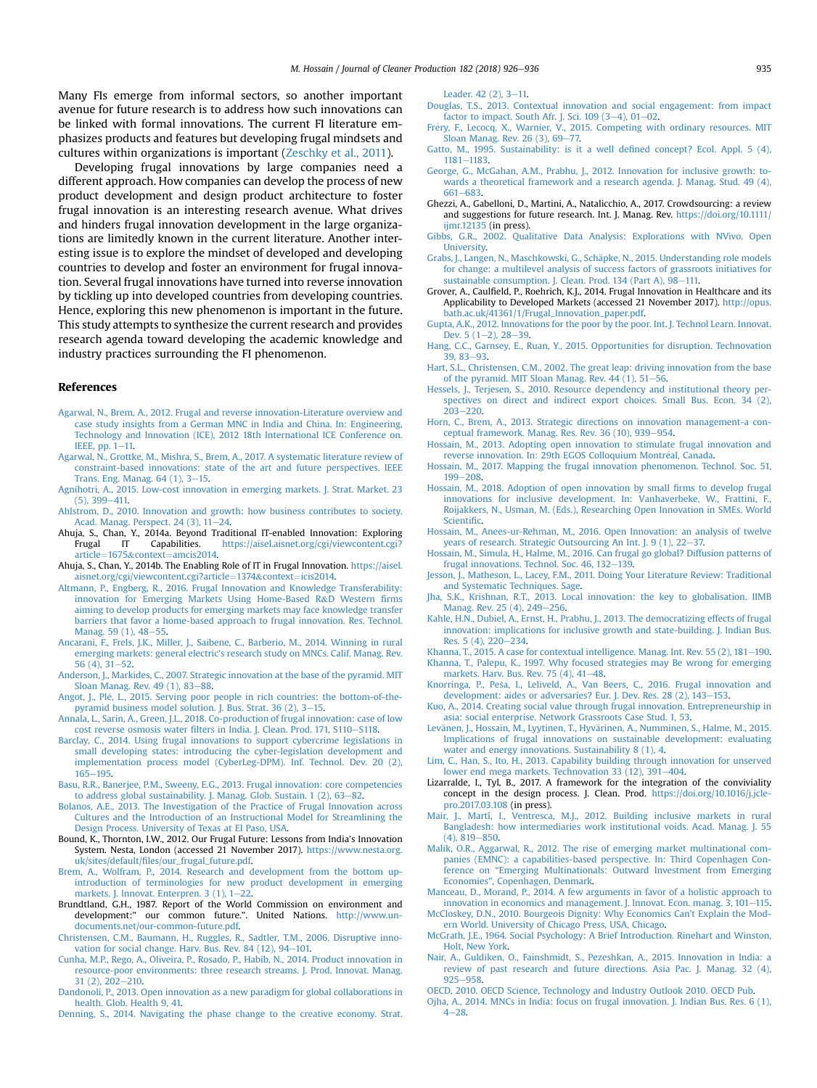<span id="page-9-0"></span>Many FIs emerge from informal sectors, so another important avenue for future research is to address how such innovations can be linked with formal innovations. The current FI literature emphasizes products and features but developing frugal mindsets and cultures within organizations is important ([Zeschky et al., 2011\)](#page-10-0).

Developing frugal innovations by large companies need a different approach. How companies can develop the process of new product development and design product architecture to foster frugal innovation is an interesting research avenue. What drives and hinders frugal innovation development in the large organizations are limitedly known in the current literature. Another interesting issue is to explore the mindset of developed and developing countries to develop and foster an environment for frugal innovation. Several frugal innovations have turned into reverse innovation by tickling up into developed countries from developing countries. Hence, exploring this new phenomenon is important in the future. This study attempts to synthesize the current research and provides research agenda toward developing the academic knowledge and industry practices surrounding the FI phenomenon.

#### References

- [Agarwal, N., Brem, A., 2012. Frugal and reverse innovation-Literature overview and](http://refhub.elsevier.com/S0959-6526(18)30403-7/sref1) [case study insights from a German MNC in India and China. In: Engineering,](http://refhub.elsevier.com/S0959-6526(18)30403-7/sref1) [Technology and Innovation \(ICE\), 2012 18th International ICE Conference on.](http://refhub.elsevier.com/S0959-6526(18)30403-7/sref1) IEEE, pp.  $1-11$ .
- [Agarwal, N., Grottke, M., Mishra, S., Brem, A., 2017. A systematic literature review of](http://refhub.elsevier.com/S0959-6526(18)30403-7/sref2) [constraint-based innovations: state of the art and future perspectives. IEEE](http://refhub.elsevier.com/S0959-6526(18)30403-7/sref2) Trans. Eng. Manag.  $64$  (1),  $3-15$ .
- [Agnihotri, A., 2015. Low-cost innovation in emerging markets. J. Strat. Market. 23](http://refhub.elsevier.com/S0959-6526(18)30403-7/sref3)  $(5)$ , 399 $-411$ .
- [Ahlstrom, D., 2010. Innovation and growth: how business contributes to society.](http://refhub.elsevier.com/S0959-6526(18)30403-7/sref4) Acad. Manag. Perspect.  $24$  (3),  $11-24$ .
- Ahuja, S., Chan, Y., 2014a. Beyond Traditional IT-enabled Innovation: Exploring Frugal IT Capabilities. [https://aisel.aisnet.org/cgi/viewcontent.cgi?](https://aisel.aisnet.org/cgi/viewcontent.cgi?article=1675&context=amcis2014) [article](https://aisel.aisnet.org/cgi/viewcontent.cgi?article=1675&context=amcis2014)=[1675](https://aisel.aisnet.org/cgi/viewcontent.cgi?article=1675&context=amcis2014)&[context](https://aisel.aisnet.org/cgi/viewcontent.cgi?article=1675&context=amcis2014)=[amcis2014.](https://aisel.aisnet.org/cgi/viewcontent.cgi?article=1675&context=amcis2014)
- Ahuja, S., Chan, Y., 2014b. The Enabling Role of IT in Frugal Innovation. [https://aisel.](https://aisel.aisnet.org/cgi/viewcontent.cgi?article=1374&context=icis2014) [aisnet.org/cgi/viewcontent.cgi?article](https://aisel.aisnet.org/cgi/viewcontent.cgi?article=1374&context=icis2014)=[1374](https://aisel.aisnet.org/cgi/viewcontent.cgi?article=1374&context=icis2014)&[context](https://aisel.aisnet.org/cgi/viewcontent.cgi?article=1374&context=icis2014)=[icis2014.](https://aisel.aisnet.org/cgi/viewcontent.cgi?article=1374&context=icis2014)
- [Altmann, P., Engberg, R., 2016. Frugal Innovation and Knowledge Transferability:](http://refhub.elsevier.com/S0959-6526(18)30403-7/sref7) [innovation for Emerging Markets Using Home-Based R](http://refhub.elsevier.com/S0959-6526(18)30403-7/sref7)&[D Western](http://refhub.elsevier.com/S0959-6526(18)30403-7/sref7) firms [aiming to develop products for emerging markets may face knowledge transfer](http://refhub.elsevier.com/S0959-6526(18)30403-7/sref7) [barriers that favor a home-based approach to frugal innovation. Res. Technol.](http://refhub.elsevier.com/S0959-6526(18)30403-7/sref7) [Manag. 59 \(1\), 48](http://refhub.elsevier.com/S0959-6526(18)30403-7/sref7)-[55](http://refhub.elsevier.com/S0959-6526(18)30403-7/sref7).
- [Ancarani, F., Frels, J.K., Miller, J., Saibene, C., Barberio, M., 2014. Winning in rural](http://refhub.elsevier.com/S0959-6526(18)30403-7/sref126) [emerging markets: general electric's research study on MNCs. Calif. Manag. Rev.](http://refhub.elsevier.com/S0959-6526(18)30403-7/sref126)  $56(4)$ ,  $31-52$  $31-52$ .
- [Anderson, J., Markides, C., 2007. Strategic innovation at the base of the pyramid. MIT](http://refhub.elsevier.com/S0959-6526(18)30403-7/sref8) [Sloan Manag. Rev. 49 \(1\), 83](http://refhub.elsevier.com/S0959-6526(18)30403-7/sref8)-[88](http://refhub.elsevier.com/S0959-6526(18)30403-7/sref8).
- [Angot, J., Pl](http://refhub.elsevier.com/S0959-6526(18)30403-7/sref9)é[, L., 2015. Serving poor people in rich countries: the bottom-of-the-](http://refhub.elsevier.com/S0959-6526(18)30403-7/sref9)<br>[pyramid business model solution. J. Bus. Strat. 36 \(2\), 3](http://refhub.elsevier.com/S0959-6526(18)30403-7/sref9)–[15.](http://refhub.elsevier.com/S0959-6526(18)30403-7/sref9)
- [Annala, L., Sarin, A., Green, J.L., 2018. Co-production of frugal innovation: case of low](http://refhub.elsevier.com/S0959-6526(18)30403-7/sref10) cost reverse osmosis water fi[lters in India. J. Clean. Prod. 171, S110](http://refhub.elsevier.com/S0959-6526(18)30403-7/sref10)–[S118](http://refhub.elsevier.com/S0959-6526(18)30403-7/sref10).
- [Barclay, C., 2014. Using frugal innovations to support cybercrime legislations in](http://refhub.elsevier.com/S0959-6526(18)30403-7/sref11) [small developing states: introducing the cyber-legislation development and](http://refhub.elsevier.com/S0959-6526(18)30403-7/sref11) [implementation process model \(CyberLeg-DPM\). Inf. Technol. Dev. 20 \(2\),](http://refhub.elsevier.com/S0959-6526(18)30403-7/sref11) [165](http://refhub.elsevier.com/S0959-6526(18)30403-7/sref11)-[195.](http://refhub.elsevier.com/S0959-6526(18)30403-7/sref11)
- [Basu, R.R., Banerjee, P.M., Sweeny, E.G., 2013. Frugal innovation: core competencies](http://refhub.elsevier.com/S0959-6526(18)30403-7/sref13) [to address global sustainability. J. Manag. Glob. Sustain. 1 \(2\), 63](http://refhub.elsevier.com/S0959-6526(18)30403-7/sref13)-[82](http://refhub.elsevier.com/S0959-6526(18)30403-7/sref13).
- [Bolanos, A.E., 2013. The Investigation of the Practice of Frugal Innovation across](http://refhub.elsevier.com/S0959-6526(18)30403-7/sref15) [Cultures and the Introduction of an Instructional Model for Streamlining the](http://refhub.elsevier.com/S0959-6526(18)30403-7/sref15) [Design Process. University of Texas at El Paso, USA](http://refhub.elsevier.com/S0959-6526(18)30403-7/sref15).
- Bound, K., Thornton, I.W., 2012. Our Frugal Future: Lessons from India's Innovation System. Nesta, London (accessed 21 November 2017). [https://www.nesta.org.](https://www.nesta.org.uk/sites/default/files/our_frugal_future.pdf) uk/sites/default/fi[les/our\\_frugal\\_future.pdf.](https://www.nesta.org.uk/sites/default/files/our_frugal_future.pdf)
- [Brem, A., Wolfram, P., 2014. Research and development from the bottom up](http://refhub.elsevier.com/S0959-6526(18)30403-7/sref18)[introduction of terminologies for new product development in emerging](http://refhub.elsevier.com/S0959-6526(18)30403-7/sref18) markets. J. Innovat. Enterpren.  $3(1)$ ,  $1-22$  $1-22$
- Brundtland, G.H., 1987. Report of the World Commission on environment and development:" our common future.". United Nations. [http://www.un](http://www.un-documents.net/our-common-future.pdf)[documents.net/our-common-future.pdf.](http://www.un-documents.net/our-common-future.pdf)
- [Christensen, C.M., Baumann, H., Ruggles, R., Sadtler, T.M., 2006. Disruptive inno](http://refhub.elsevier.com/S0959-6526(18)30403-7/sref22)vation for social change. Harv. Bus. Rev. 84  $(12)$ , 94-[101.](http://refhub.elsevier.com/S0959-6526(18)30403-7/sref22)
- [Cunha, M.P., Rego, A., Oliveira, P., Rosado, P., Habib, N., 2014. Product innovation in](http://refhub.elsevier.com/S0959-6526(18)30403-7/sref25) [resource-poor environments: three research streams. J. Prod. Innovat. Manag.](http://refhub.elsevier.com/S0959-6526(18)30403-7/sref25) [31 \(2\), 202](http://refhub.elsevier.com/S0959-6526(18)30403-7/sref25)-[210](http://refhub.elsevier.com/S0959-6526(18)30403-7/sref25).
- [Dandonoli, P., 2013. Open innovation as a new paradigm for global collaborations in](http://refhub.elsevier.com/S0959-6526(18)30403-7/sref26) [health. Glob. Health 9, 41.](http://refhub.elsevier.com/S0959-6526(18)30403-7/sref26)

[Denning, S., 2014. Navigating the phase change to the creative economy. Strat.](http://refhub.elsevier.com/S0959-6526(18)30403-7/sref27)

Leader.  $42(2)$ ,  $3-11$ .

- [Douglas, T.S., 2013. Contextual innovation and social engagement: from impact](http://refhub.elsevier.com/S0959-6526(18)30403-7/sref28) factor to impact. South Afr. J. Sci.  $109(3-4)$ ,  $01-02$ .
- [Fr](http://refhub.elsevier.com/S0959-6526(18)30403-7/sref30)é[ry, F., Lecocq, X., Warnier, V., 2015. Competing with ordinary resources. MIT](http://refhub.elsevier.com/S0959-6526(18)30403-7/sref30) Sloan Manag. Rev. 26  $(3)$ , 69-[77.](http://refhub.elsevier.com/S0959-6526(18)30403-7/sref30)
- [Gatto, M., 1995. Sustainability: is it a well de](http://refhub.elsevier.com/S0959-6526(18)30403-7/sref32)fined concept? Ecol. Appl. 5 (4), [1181](http://refhub.elsevier.com/S0959-6526(18)30403-7/sref32)-1183
- [George, G., McGahan, A.M., Prabhu, J., 2012. Innovation for inclusive growth: to](http://refhub.elsevier.com/S0959-6526(18)30403-7/sref34)[wards a theoretical framework and a research agenda. J. Manag. Stud. 49 \(4\),](http://refhub.elsevier.com/S0959-6526(18)30403-7/sref34) [661](http://refhub.elsevier.com/S0959-6526(18)30403-7/sref34)-[683.](http://refhub.elsevier.com/S0959-6526(18)30403-7/sref34)
- Ghezzi, A., Gabelloni, D., Martini, A., Natalicchio, A., 2017. Crowdsourcing: a review and suggestions for future research. Int. J. Manag. Rev. [https://doi.org/10.1111/](https://doi.org/10.1111/ijmr.12135) [ijmr.12135](https://doi.org/10.1111/ijmr.12135) (in press).
- [Gibbs, G.R., 2002. Qualitative Data Analysis: Explorations with NVivo. Open](http://refhub.elsevier.com/S0959-6526(18)30403-7/sref37) [University](http://refhub.elsevier.com/S0959-6526(18)30403-7/sref37).
- [Grabs, J., Langen, N., Maschkowski, G., Sch](http://refhub.elsevier.com/S0959-6526(18)30403-7/sref40)ä[pke, N., 2015. Understanding role models](http://refhub.elsevier.com/S0959-6526(18)30403-7/sref40) [for change: a multilevel analysis of success factors of grassroots initiatives for](http://refhub.elsevier.com/S0959-6526(18)30403-7/sref40) [sustainable consumption. J. Clean. Prod. 134 \(Part A\), 98](http://refhub.elsevier.com/S0959-6526(18)30403-7/sref40)-[111.](http://refhub.elsevier.com/S0959-6526(18)30403-7/sref40)
- Grover, A., Caulfield, P., Roehrich, K.J., 2014. Frugal Innovation in Healthcare and its Applicability to Developed Markets (accessed 21 November 2017). [http://opus.](http://opus.bath.ac.uk/41361/1/Frugal_Innovation_paper.pdf) [bath.ac.uk/41361/1/Frugal\\_Innovation\\_paper.pdf](http://opus.bath.ac.uk/41361/1/Frugal_Innovation_paper.pdf).
- [Gupta, A.K., 2012. Innovations for the poor by the poor. Int. J. Technol Learn. Innovat.](http://refhub.elsevier.com/S0959-6526(18)30403-7/sref42) Dev.  $5(1-2), 28-39.$  $5(1-2), 28-39.$  $5(1-2), 28-39.$  $5(1-2), 28-39.$
- [Hang, C.C., Garnsey, E., Ruan, Y., 2015. Opportunities for disruption. Technovation](http://refhub.elsevier.com/S0959-6526(18)30403-7/sref45)  $39.83 - 93.$  $39.83 - 93.$
- [Hart, S.L., Christensen, C.M., 2002. The great leap: driving innovation from the base](http://refhub.elsevier.com/S0959-6526(18)30403-7/sref46) of the pyramid. MIT Sloan Manag. Rev.  $44$  (1),  $51-56$ .
- [Hessels, J., Terjesen, S., 2010. Resource dependency and institutional theory per](http://refhub.elsevier.com/S0959-6526(18)30403-7/sref49)[spectives on direct and indirect export choices. Small Bus. Econ. 34 \(2\),](http://refhub.elsevier.com/S0959-6526(18)30403-7/sref49)  $203 - 220$  $203 - 220$  $203 - 220$
- [Horn, C., Brem, A., 2013. Strategic directions on innovation management-a con](http://refhub.elsevier.com/S0959-6526(18)30403-7/sref50)[ceptual framework. Manag. Res. Rev. 36 \(10\), 939](http://refhub.elsevier.com/S0959-6526(18)30403-7/sref50)-[954.](http://refhub.elsevier.com/S0959-6526(18)30403-7/sref50)
- [Hossain, M., 2013. Adopting open innovation to stimulate frugal innovation and](http://refhub.elsevier.com/S0959-6526(18)30403-7/sref51) reverse innovation. In: 29th EGOS Colloquium Montréal, Canada.
- [Hossain, M., 2017. Mapping the frugal innovation phenomenon. Technol. Soc. 51,](http://refhub.elsevier.com/S0959-6526(18)30403-7/sref52) [199](http://refhub.elsevier.com/S0959-6526(18)30403-7/sref52)-[208.](http://refhub.elsevier.com/S0959-6526(18)30403-7/sref52)
- [Hossain, M., 2018. Adoption of open innovation by small](http://refhub.elsevier.com/S0959-6526(18)30403-7/sref53) firms to develop frugal innovations for inclusive development. In: Vanhaverbeke, W., Frattini, F. [Roijakkers, N., Usman, M. \(Eds.\), Researching Open Innovation in SMEs. World](http://refhub.elsevier.com/S0959-6526(18)30403-7/sref53) [Scienti](http://refhub.elsevier.com/S0959-6526(18)30403-7/sref53)fic.
- [Hossain, M., Anees-ur-Rehman, M., 2016. Open Innovation: an analysis of twelve](http://refhub.elsevier.com/S0959-6526(18)30403-7/sref54) [years of research. Strategic Outsourcing An Int. J. 9 \(1\), 22](http://refhub.elsevier.com/S0959-6526(18)30403-7/sref54)-[37.](http://refhub.elsevier.com/S0959-6526(18)30403-7/sref54)
- [Hossain, M., Simula, H., Halme, M., 2016. Can frugal go global? Diffusion patterns of](http://refhub.elsevier.com/S0959-6526(18)30403-7/sref55) [frugal innovations. Technol. Soc. 46, 132](http://refhub.elsevier.com/S0959-6526(18)30403-7/sref55)-[139](http://refhub.elsevier.com/S0959-6526(18)30403-7/sref55).
- [Jesson, J., Matheson, L., Lacey, F.M., 2011. Doing Your Literature Review: Traditional](http://refhub.elsevier.com/S0959-6526(18)30403-7/sref56) [and Systematic Techniques. Sage](http://refhub.elsevier.com/S0959-6526(18)30403-7/sref56).
- [Jha, S.K., Krishnan, R.T., 2013. Local innovation: the key to globalisation. IIMB](http://refhub.elsevier.com/S0959-6526(18)30403-7/sref57) [Manag. Rev. 25 \(4\), 249](http://refhub.elsevier.com/S0959-6526(18)30403-7/sref57)-[256.](http://refhub.elsevier.com/S0959-6526(18)30403-7/sref57)
- [Kahle, H.N., Dubiel, A., Ernst, H., Prabhu, J., 2013. The democratizing effects of frugal](http://refhub.elsevier.com/S0959-6526(18)30403-7/sref128) [innovation: implications for inclusive growth and state-building. J. Indian Bus.](http://refhub.elsevier.com/S0959-6526(18)30403-7/sref128) [Res. 5 \(4\), 220](http://refhub.elsevier.com/S0959-6526(18)30403-7/sref128)-[234.](http://refhub.elsevier.com/S0959-6526(18)30403-7/sref128)
- [Khanna, T., 2015. A case for contextual intelligence. Manag. Int. Rev. 55 \(2\), 181](http://refhub.elsevier.com/S0959-6526(18)30403-7/sref59)-[190](http://refhub.elsevier.com/S0959-6526(18)30403-7/sref59). [Khanna, T., Palepu, K., 1997. Why focused strategies may Be wrong for emerging](http://refhub.elsevier.com/S0959-6526(18)30403-7/sref60)
- markets. Harv. Bus. Rev. 75  $(4)$ , 41-[48](http://refhub.elsevier.com/S0959-6526(18)30403-7/sref60). [Knorringa, P., Pe](http://refhub.elsevier.com/S0959-6526(18)30403-7/sref61)[sa, I., Leliveld, A., Van Beers, C., 2016. Frugal innovation and](http://refhub.elsevier.com/S0959-6526(18)30403-7/sref61) [development: aides or adversaries? Eur. J. Dev. Res. 28 \(2\), 143](http://refhub.elsevier.com/S0959-6526(18)30403-7/sref61)-[153](http://refhub.elsevier.com/S0959-6526(18)30403-7/sref61).
- [Kuo, A., 2014. Creating social value through frugal innovation. Entrepreneurship in](http://refhub.elsevier.com/S0959-6526(18)30403-7/sref62) [asia: social enterprise. Network Grassroots Case Stud. 1, 53](http://refhub.elsevier.com/S0959-6526(18)30403-7/sref62).
- Levänen, J., Hossain, M., Lyytinen, T., Hyvä[rinen, A., Numminen, S., Halme, M., 2015.](http://refhub.elsevier.com/S0959-6526(18)30403-7/sref64) [Implications of frugal innovations on sustainable development: evaluating](http://refhub.elsevier.com/S0959-6526(18)30403-7/sref64) [water and energy innovations. Sustainability 8 \(1\), 4](http://refhub.elsevier.com/S0959-6526(18)30403-7/sref64).
- [Lim, C., Han, S., Ito, H., 2013. Capability building through innovation for unserved](http://refhub.elsevier.com/S0959-6526(18)30403-7/sref65) [lower end mega markets. Technovation 33 \(12\), 391](http://refhub.elsevier.com/S0959-6526(18)30403-7/sref65)-[404.](http://refhub.elsevier.com/S0959-6526(18)30403-7/sref65)
- Lizarralde, I., Tyl, B., 2017. A framework for the integration of the conviviality concept in the design process. J. Clean. Prod. [https://doi.org/10.1016/j.jcle](https://doi.org/10.1016/j.jclepro.2017.03.108)[pro.2017.03.108](https://doi.org/10.1016/j.jclepro.2017.03.108) (in press).
- [Mair, J., Martí, I., Ventresca, M.J., 2012. Building inclusive markets in rural](http://refhub.elsevier.com/S0959-6526(18)30403-7/sref68) [Bangladesh: how intermediaries work institutional voids. Acad. Manag. J. 55](http://refhub.elsevier.com/S0959-6526(18)30403-7/sref68)  $(4)$ ,  $819 - 850$  $819 - 850$ .
- [Malik, O.R., Aggarwal, R., 2012. The rise of emerging market multinational com](http://refhub.elsevier.com/S0959-6526(18)30403-7/sref69)[panies \(EMNC\): a capabilities-based perspective. In: Third Copenhagen Con](http://refhub.elsevier.com/S0959-6526(18)30403-7/sref69)ference on "[Emerging Multinationals: Outward Investment from Emerging](http://refhub.elsevier.com/S0959-6526(18)30403-7/sref69) Economies"[, Copenhagen, Denmark.](http://refhub.elsevier.com/S0959-6526(18)30403-7/sref69)
- [Manceau, D., Morand, P., 2014. A few arguments in favor of a holistic approach to](http://refhub.elsevier.com/S0959-6526(18)30403-7/sref70) [innovation in economics and management. J. Innovat. Econ. manag. 3, 101](http://refhub.elsevier.com/S0959-6526(18)30403-7/sref70)-[115](http://refhub.elsevier.com/S0959-6526(18)30403-7/sref70).
- [McCloskey, D.N., 2010. Bourgeois Dignity: Why Economics Can](http://refhub.elsevier.com/S0959-6526(18)30403-7/sref72)'t Explain the Mod[ern World. University of Chicago Press, USA, Chicago](http://refhub.elsevier.com/S0959-6526(18)30403-7/sref72).
- [McGrath, J.E., 1964. Social Psychology: A Brief Introduction. Rinehart and Winston,](http://refhub.elsevier.com/S0959-6526(18)30403-7/sref130) [Holt, New York.](http://refhub.elsevier.com/S0959-6526(18)30403-7/sref130)
- [Nair, A., Guldiken, O., Fainshmidt, S., Pezeshkan, A., 2015. Innovation in India: a](http://refhub.elsevier.com/S0959-6526(18)30403-7/sref76) [review of past research and future directions. Asia Pac. J. Manag. 32 \(4\),](http://refhub.elsevier.com/S0959-6526(18)30403-7/sref76) [925](http://refhub.elsevier.com/S0959-6526(18)30403-7/sref76)-[958](http://refhub.elsevier.com/S0959-6526(18)30403-7/sref76)
- [OECD, 2010. OECD Science, Technology and Industry Outlook 2010. OECD Pub](http://refhub.elsevier.com/S0959-6526(18)30403-7/sref79).
- [Ojha, A., 2014. MNCs in India: focus on frugal innovation. J. Indian Bus. Res. 6 \(1\),](http://refhub.elsevier.com/S0959-6526(18)30403-7/sref80)  $4 - 28.$  $4 - 28.$  $4 - 28.$